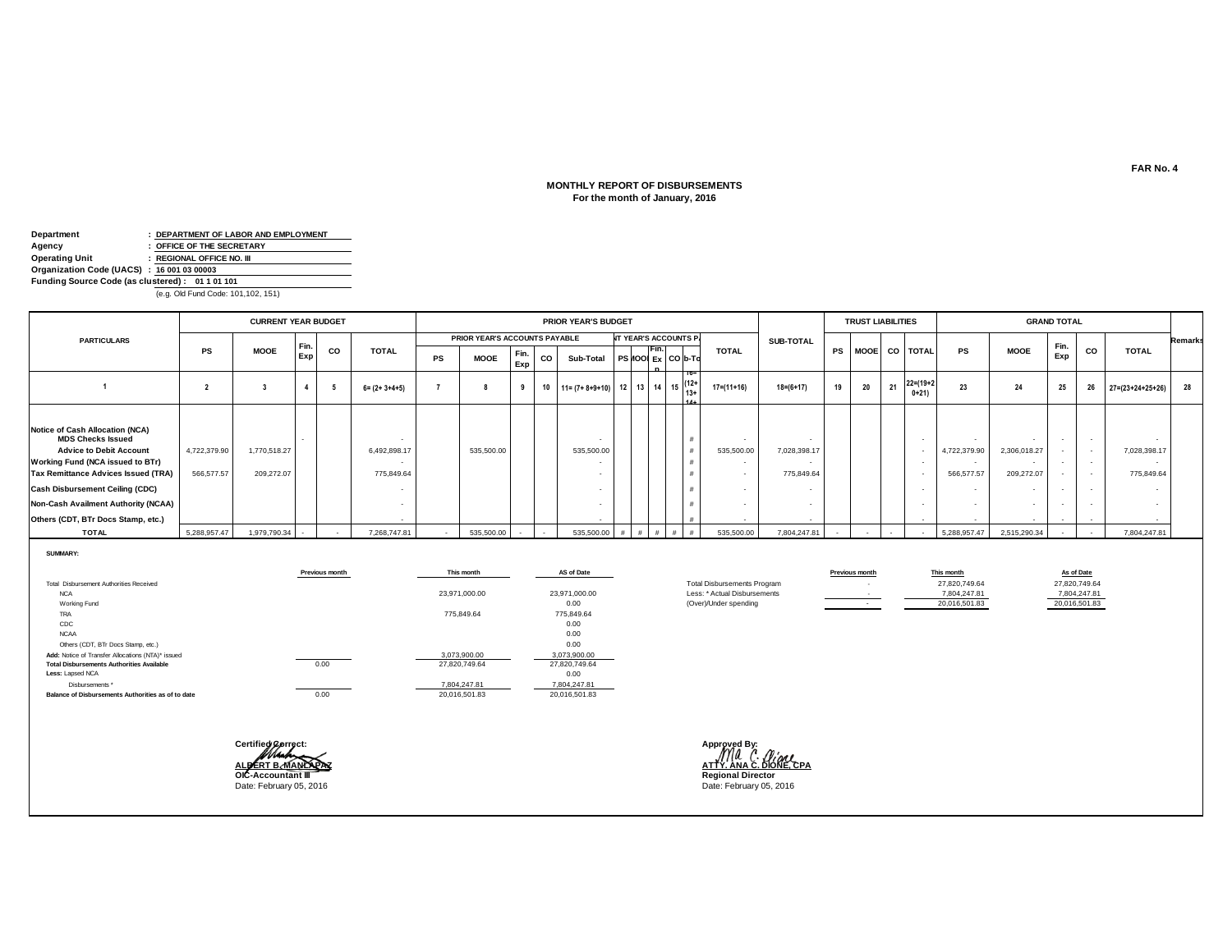#### **MONTHLY REPORT OF DISBURSEMENTS For the month of January, 2016**

| Department                                      |  | : DEPARTMENT OF LABOR AND EMPLOYMENT |  |  |  |  |  |  |  |  |  |  |
|-------------------------------------------------|--|--------------------------------------|--|--|--|--|--|--|--|--|--|--|
| Agency                                          |  | : OFFICE OF THE SECRETARY            |  |  |  |  |  |  |  |  |  |  |
| <b>Operating Unit</b>                           |  | : REGIONAL OFFICE NO. III            |  |  |  |  |  |  |  |  |  |  |
| Organization Code (UACS) : 16 001 03 00003      |  |                                      |  |  |  |  |  |  |  |  |  |  |
| Funding Source Code (as clustered): 01 1 01 101 |  |                                      |  |  |  |  |  |  |  |  |  |  |
|                                                 |  |                                      |  |  |  |  |  |  |  |  |  |  |

(e.g. Old Fund Code: 101,102, 151)

|                                                                                                                                                                                                                                                                                                               | <b>CURRENT YEAR BUDGET</b> |                            |             |    |                            |           |                               |             |    | PRIOR YEAR'S BUDGET     |          |                                  |                        |                      |                            |    | <b>TRUST LIABILITIES</b> |    |                           |                            |                            | <b>GRAND TOTAL</b>                   |           |                            |                |
|---------------------------------------------------------------------------------------------------------------------------------------------------------------------------------------------------------------------------------------------------------------------------------------------------------------|----------------------------|----------------------------|-------------|----|----------------------------|-----------|-------------------------------|-------------|----|-------------------------|----------|----------------------------------|------------------------|----------------------|----------------------------|----|--------------------------|----|---------------------------|----------------------------|----------------------------|--------------------------------------|-----------|----------------------------|----------------|
| <b>PARTICULARS</b>                                                                                                                                                                                                                                                                                            |                            |                            |             |    |                            |           | PRIOR YEAR'S ACCOUNTS PAYABLE |             |    |                         |          | <b>NT YEAR'S ACCOUNTS P.</b>     |                        |                      | <b>SUB-TOTAL</b>           |    |                          |    |                           |                            |                            |                                      |           |                            | <b>Remarks</b> |
|                                                                                                                                                                                                                                                                                                               | <b>PS</b>                  | <b>MOOE</b>                | Fin.<br>Exp | CO | <b>TOTAL</b>               | <b>PS</b> | <b>MOOE</b>                   | Fin.<br>Exp | CO | Sub-Total               |          | Fin.<br><b>PS 400 Ex CO b-To</b> |                        | <b>TOTAL</b>         |                            |    |                          |    | PS MOOE CO TOTAL          | <b>PS</b>                  | <b>MOOE</b>                | Fin.<br>Exp                          | <b>CO</b> | <b>TOTAL</b>               |                |
|                                                                                                                                                                                                                                                                                                               |                            |                            |             |    | $6 = (2 + 3 + 4 + 5)$      |           |                               |             | 10 | $11 = (7 + 8 + 9 + 10)$ | 12 13 14 |                                  | $15 \tbinom{12+}{13+}$ | $17 = (11 + 16)$     | $18 = (6 + 17)$            | 19 | 20                       | 21 | $22 = (19 + 2)$<br>$0+21$ | 23                         | 24                         | 25                                   | 26        | $27=(23+24+25+26)$         | 28             |
| <b>Notice of Cash Allocation (NCA)</b><br><b>MDS Checks Issued</b><br><b>Advice to Debit Account</b><br><b>Working Fund (NCA issued to BTr)</b><br>Tax Remittance Advices Issued (TRA)<br><b>Cash Disbursement Ceiling (CDC)</b><br>Non-Cash Availment Authority (NCAA)<br>Others (CDT, BTr Docs Stamp, etc.) | 4,722,379.90<br>566,577.57 | 1,770,518.27<br>209,272.07 |             |    | 6,492,898.17<br>775,849.64 |           | 535,500.00                    |             |    | 535,500.00<br>$\sim$    |          |                                  | #                      | 535,500.00<br>$\sim$ | 7,028,398.17<br>775,849.64 |    |                          |    | . .                       | 4,722,379.90<br>566,577.57 | 2,306,018.27<br>209,272.07 | $\sim$<br>$\sim$<br>$\sim$<br>$\sim$ |           | 7,028,398.17<br>775,849.64 |                |
| <b>TOTAL</b>                                                                                                                                                                                                                                                                                                  | 5,288,957.47               | 1,979,790.34               | $\sim$      |    | 7,268,747.81               |           | 535,500.00                    |             |    | 535,500.00              | # I      | $\pm$                            | $#$ $#$                | 535,500.00           | 7,804,247.81               |    |                          |    |                           | 5.288.957.47               | 2,515,290.34               | $\sim$                               |           | 7,804,247.81               |                |

**SUMMARY:**

|                                                    | Previous month | This month    | AS of Date    |                                    | Previous month | This month    |
|----------------------------------------------------|----------------|---------------|---------------|------------------------------------|----------------|---------------|
| Total Disbursement Authorities Received            |                |               |               | <b>Total Disbursements Program</b> |                | 27,820,749.64 |
| <b>NCA</b>                                         |                | 23,971,000.00 | 23.971.000.00 | Less: * Actual Disbursements       |                | 7,804,247.81  |
| Working Fund                                       |                |               | 0.00          | (Over)/Under spending              |                | 20,016,501.83 |
| TRA                                                |                | 775.849.64    | 775.849.64    |                                    |                |               |
| CDC                                                |                |               | 0.00          |                                    |                |               |
| <b>NCAA</b>                                        |                |               | 0.00          |                                    |                |               |
| Others (CDT, BTr Docs Stamp, etc.)                 |                |               | 0.00          |                                    |                |               |
| Add: Notice of Transfer Allocations (NTA)* issued  |                | 3,073,900.00  | 3,073,900.00  |                                    |                |               |
| <b>Total Disbursements Authorities Available</b>   | 0.00           | 27.820.749.64 | 27.820.749.64 |                                    |                |               |
| Less: Lapsed NCA                                   |                |               | 0.00          |                                    |                |               |
| Disbursements *                                    |                | 7,804,247.81  | 7,804,247.81  |                                    |                |               |
| Balance of Disbursements Authorities as of to date | 0.00           | 20,016,501.83 | 20,016,501.83 |                                    |                |               |

| Certified Correct:      | Approved By:<br>$\lambda$                             |
|-------------------------|-------------------------------------------------------|
| ALDERT BOMANDARAZ       | ATTY, ANA C. <i>Ullary</i><br>ATTY, ANA C. DIONE, CPA |
| OIC-Accountant III      | <b>Regional Director</b>                              |
| Date: February 05, 2016 | Date: February 05, 2016                               |

- 27,820,749.64

 $7,804,247.81$   $20,016,501.83$ 

Date: February 05, 2016 Date: February 05, 2016

**FAR No. 4**

**As of Date**<br>27,820,749.64

20,016,501.83 7,804,247.81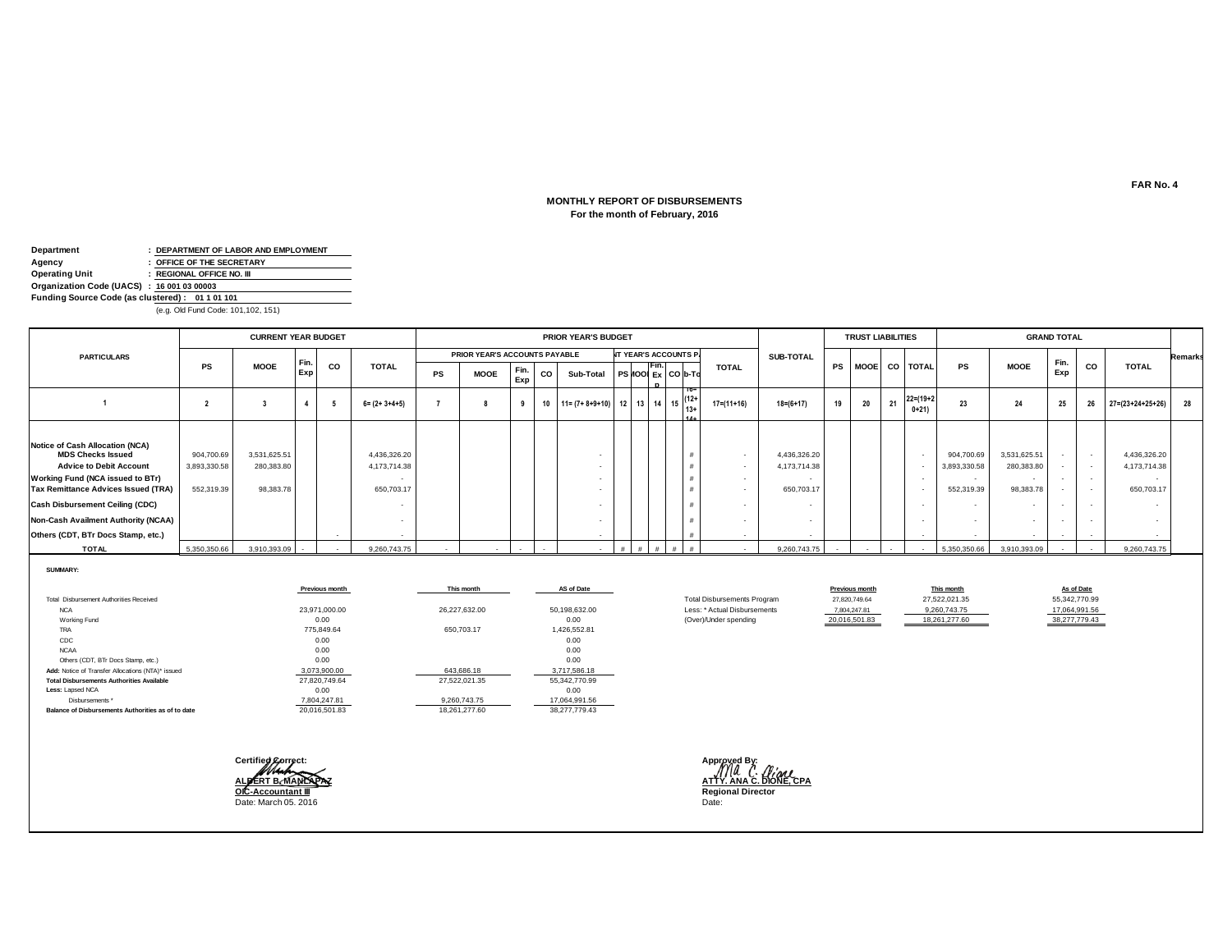#### **For the month of February, 2016 MONTHLY REPORT OF DISBURSEMENTS**

| Department                                      |  | : DEPARTMENT OF LABOR AND EMPLOYMENT |  |  |  |  |  |  |  |  |  |  |
|-------------------------------------------------|--|--------------------------------------|--|--|--|--|--|--|--|--|--|--|
| Agency                                          |  | : OFFICE OF THE SECRETARY            |  |  |  |  |  |  |  |  |  |  |
| Operating Unit                                  |  | : REGIONAL OFFICE NO. III            |  |  |  |  |  |  |  |  |  |  |
| Organization Code (UACS) : 16 001 03 00003      |  |                                      |  |  |  |  |  |  |  |  |  |  |
| Funding Source Code (as clustered): 01 1 01 101 |  |                                      |  |  |  |  |  |  |  |  |  |  |
| (e.g. Old Fund Code: 101,102, 151)              |  |                                      |  |  |  |  |  |  |  |  |  |  |

|                                                                                                                                                                                                                                                                                                               | <b>CURRENT YEAR BUDGET</b>               |                                         |            |     |                                            |    |                               |             |    | <b>PRIOR YEAR'S BUDGET</b>                                                                          |  |      |                              |              |                                            |    | <b>TRUST LIABILITIES</b> |    |                            |                                          |                                         | <b>GRAND TOTAL</b>                             |        |                                            |         |
|---------------------------------------------------------------------------------------------------------------------------------------------------------------------------------------------------------------------------------------------------------------------------------------------------------------|------------------------------------------|-----------------------------------------|------------|-----|--------------------------------------------|----|-------------------------------|-------------|----|-----------------------------------------------------------------------------------------------------|--|------|------------------------------|--------------|--------------------------------------------|----|--------------------------|----|----------------------------|------------------------------------------|-----------------------------------------|------------------------------------------------|--------|--------------------------------------------|---------|
| <b>PARTICULARS</b>                                                                                                                                                                                                                                                                                            |                                          |                                         |            |     |                                            |    | PRIOR YEAR'S ACCOUNTS PAYABLE |             |    |                                                                                                     |  |      | <b>IT YEAR'S ACCOUNTS P.</b> |              | <b>SUB-TOTAL</b>                           |    |                          |    |                            |                                          |                                         |                                                |        |                                            | Remarks |
|                                                                                                                                                                                                                                                                                                               | PS                                       | <b>MOOE</b>                             | Fin<br>Exp | co  | <b>TOTAL</b>                               | PS | <b>MOOE</b>                   | Fin.<br>Exp | CO | Sub-Total PS 100 Ex CO b-To                                                                         |  | Fin. |                              | <b>TOTAL</b> |                                            |    |                          |    | PS MOOE CO TOTAL           | <b>PS</b>                                | <b>MOOE</b>                             | Fin.<br>Exp                                    | CO     | <b>TOTAL</b>                               |         |
|                                                                                                                                                                                                                                                                                                               |                                          |                                         |            | - 5 | $6 = (2 + 3 + 4 + 5)$                      |    |                               |             |    | 10   11= (7+ 8+9+10)   12   13   14   15 $\begin{bmatrix} 12+11 & 13+16 \\ 13+1 & 14 \end{bmatrix}$ |  |      |                              | 17=(11+16)   | $18 = (6 + 17)$                            | 19 | 20                       | 21 | $22 = (19 + 2)$<br>$0+21)$ | 23                                       | 24                                      | 25                                             | 26     | $27 = (23 + 24 + 25 + 26)$                 | 28      |
| Notice of Cash Allocation (NCA)<br><b>MDS Checks Issued</b><br><b>Advice to Debit Account</b><br><b>Working Fund (NCA issued to BTr)</b><br><b>Tax Remittance Advices Issued (TRA)</b><br><b>Cash Disbursement Ceiling (CDC)</b><br>Non-Cash Availment Authority (NCAA)<br>Others (CDT, BTr Docs Stamp, etc.) | 904,700.69<br>3,893,330.58<br>552,319.39 | 3,531,625.51<br>280,383.80<br>98,383.78 |            |     | 4,436,326.20<br>4,173,714.38<br>650,703.17 |    |                               |             |    |                                                                                                     |  |      |                              | $\sim$       | 4,436,326.20<br>4,173,714.38<br>650,703.17 |    |                          |    |                            | 904,700.69<br>3,893,330.58<br>552,319.39 | 3,531,625.51<br>280,383.80<br>98,383.78 | $\sim$<br>$\sim$<br>$\sim$<br>$\sim$<br>$\sim$ | $\sim$ | 4,436,326.20<br>4,173,714.38<br>650,703.17 |         |
| <b>TOTAL</b>                                                                                                                                                                                                                                                                                                  | 5,350,350.66                             | 3,910,393.09                            |            |     | 9,260,743.75                               |    |                               |             |    |                                                                                                     |  |      |                              |              | 9,260,743.75                               |    |                          |    |                            | 5,350,350.66                             | 3,910,393.09                            | $\sim$                                         |        | 9,260,743.75                               |         |

**SUMMARY:**

|                                                    | Previous month | This month    | AS of Date    |                                    | Previous month | This month    | As of Date    |
|----------------------------------------------------|----------------|---------------|---------------|------------------------------------|----------------|---------------|---------------|
| Total Disbursement Authorities Received            |                |               |               | <b>Total Disbursements Program</b> | 27.820.749.64  | 27,522,021.35 | 55,342,770.99 |
| <b>NCA</b>                                         | 23.971.000.00  | 26.227.632.00 | 50,198,632.00 | Less: * Actual Disbursements       | 7,804,247.81   | 9,260,743.75  | 17,064,991.56 |
| Working Fund                                       | 0.00           |               | 0.00          | (Over)/Under spending              | 20,016,501.83  | 18,261,277.60 | 38,277,779.43 |
| TRA                                                | 775.849.64     | 650,703.17    | 1,426,552.81  |                                    |                |               |               |
| CDC                                                | 0.00           |               | 0.00          |                                    |                |               |               |
| <b>NCAA</b>                                        | 0.00           |               | 0.00          |                                    |                |               |               |
| Others (CDT, BTr Docs Stamp, etc.)                 | 0.00           |               | 0.00          |                                    |                |               |               |
| Add: Notice of Transfer Allocations (NTA)* issued  | 3,073,900.00   | 643.686.18    | 3,717,586.18  |                                    |                |               |               |
| <b>Total Disbursements Authorities Available</b>   | 27,820,749.64  | 27,522,021.35 | 55,342,770.99 |                                    |                |               |               |
| Less: Lapsed NCA                                   | 0.00           |               | 0.00          |                                    |                |               |               |
| Disbursements *                                    | 7,804,247.81   | 9,260,743.75  | 17,064,991.56 |                                    |                |               |               |
| Balance of Disbursements Authorities as of to date | 20.016.501.83  | 18.261.277.60 | 38,277,779,43 |                                    |                |               |               |



**ALBERT B. MANLAPAZ ATTY. ANA C. DIONE, CPA**<br>
<u>ALBERT B. MANLAPAZ</u> ATTY. ANA C. DIONE, CPA<br> **OIC-Accountant III OIC-Accountant III Regional Director**

**FAR No. 4**

**As of Date**<br>55,342,770.99<br>17,064,991.56<br>38,277,779.43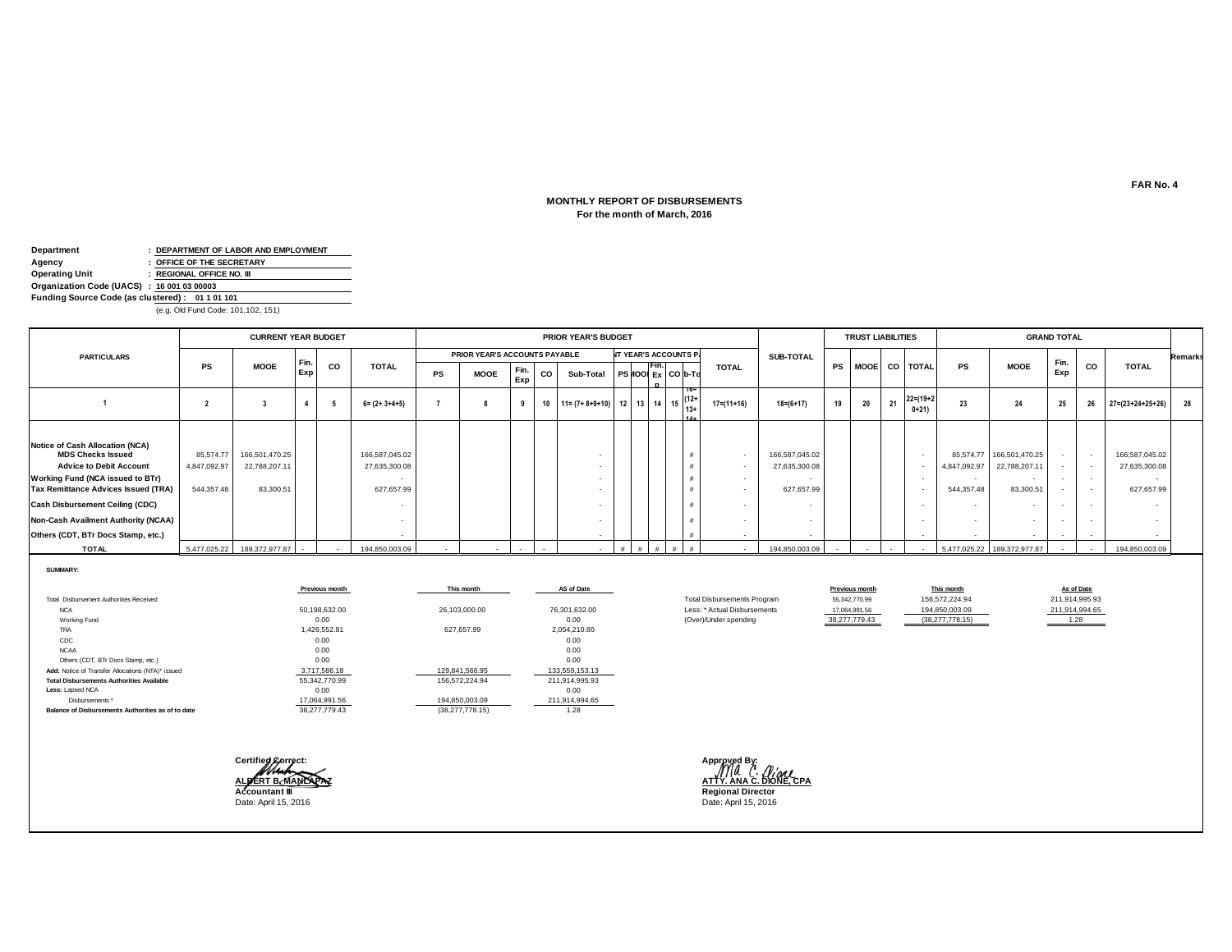#### **For the month of March, 2016 MONTHLY REPORT OF DISBURSEMENTS**

| Department                                      |  | : DEPARTMENT OF LABOR AND EMPLOYMENT |  |  |  |  |  |  |  |  |  |  |
|-------------------------------------------------|--|--------------------------------------|--|--|--|--|--|--|--|--|--|--|
| Agency                                          |  | : OFFICE OF THE SECRETARY            |  |  |  |  |  |  |  |  |  |  |
| Operating Unit                                  |  | : REGIONAL OFFICE NO. III            |  |  |  |  |  |  |  |  |  |  |
| Organization Code (UACS) : 16 001 03 00003      |  |                                      |  |  |  |  |  |  |  |  |  |  |
| Funding Source Code (as clustered): 01 1 01 101 |  |                                      |  |  |  |  |  |  |  |  |  |  |
| (e.g. Old Fund Code: 101,102, 151)              |  |                                      |  |  |  |  |  |  |  |  |  |  |

|                                                                                                                                                                                                                                                                                                        | <b>CURRENT YEAR BUDGET</b>              |                                              |            |    |                                               |           |                               |             |    | <b>PRIOR YEAR'S BUDGET</b>                                         |  |      |                              |                  |                                               |    | <b>TRUST LIABILITIES</b> |    |                           |                            |                                                        | <b>GRAND TOTAL</b>                   |    |                                               |         |
|--------------------------------------------------------------------------------------------------------------------------------------------------------------------------------------------------------------------------------------------------------------------------------------------------------|-----------------------------------------|----------------------------------------------|------------|----|-----------------------------------------------|-----------|-------------------------------|-------------|----|--------------------------------------------------------------------|--|------|------------------------------|------------------|-----------------------------------------------|----|--------------------------|----|---------------------------|----------------------------|--------------------------------------------------------|--------------------------------------|----|-----------------------------------------------|---------|
| <b>PARTICULARS</b>                                                                                                                                                                                                                                                                                     |                                         |                                              |            |    |                                               |           | PRIOR YEAR'S ACCOUNTS PAYABLE |             |    |                                                                    |  |      | <b>NT YEAR'S ACCOUNTS P.</b> |                  | SUB-TOTAL                                     |    |                          |    |                           |                            |                                                        |                                      |    |                                               | Remarks |
|                                                                                                                                                                                                                                                                                                        | <b>PS</b>                               | <b>MOOE</b>                                  | Fin<br>Exp | co | <b>TOTAL</b>                                  | <b>PS</b> | <b>MOOE</b>                   | Fin.<br>Exp | co | Sub-Total                                                          |  | -ın. | $PS MOO$ $Ex$ $CO$ b-To      | <b>TOTAL</b>     |                                               |    |                          |    | PS MOOE CO TOTAL          | <b>PS</b>                  | <b>MOOE</b>                                            | Fin.<br>Exp                          | CO | <b>TOTAL</b>                                  |         |
|                                                                                                                                                                                                                                                                                                        |                                         |                                              |            | 5  | $6 = (2 + 3 + 4 + 5)$                         |           |                               | 9           |    | 10   11 = $(7 + 8 + 9 + 10)$   12   13   14   15 $\binom{12+1}{3}$ |  |      | $13+$<br>44.4.               | $17 = (11 + 16)$ | $18 = (6 + 17)$                               | 19 | 20                       | 21 | $22 = (19 + 2)$<br>$0+21$ | 23                         | 24                                                     | 25                                   | 26 | $27 = (23 + 24 + 25 + 26)$                    | 28      |
| Notice of Cash Allocation (NCA)<br><b>MDS Checks Issued</b><br><b>Advice to Debit Account</b><br>Working Fund (NCA issued to BTr)<br><b>Tax Remittance Advices Issued (TRA)</b><br><b>Cash Disbursement Ceiling (CDC)</b><br>Non-Cash Availment Authority (NCAA)<br>Others (CDT, BTr Docs Stamp, etc.) | 85,574.77<br>4,847,092.97<br>544,357.48 | 166,501,470.25<br>22,788,207.11<br>83,300.51 |            |    | 166,587,045.02<br>27,635,300.08<br>627,657.99 |           |                               |             |    |                                                                    |  |      |                              | $\sim$<br>$\sim$ | 166,587,045.02<br>27,635,300.08<br>627.657.99 |    |                          |    | $\overline{\phantom{a}}$  | 4,847,092.97<br>544,357.48 | 85,574.77 166,501,470.25<br>22,788,207.11<br>83,300.51 | $\sim$<br>$\sim$<br>$\sim$<br>$\sim$ |    | 166,587,045.02<br>27,635,300.08<br>627,657.99 |         |
| <b>TOTAL</b>                                                                                                                                                                                                                                                                                           |                                         | 5,477,025.22 189,372,977.87                  | $\sim$     |    | 194,850,003.09                                |           |                               |             |    |                                                                    |  |      |                              |                  | 194,850,003.09                                |    |                          |    |                           |                            | 5,477,025.22 189,372,977.87                            | $\sim$                               |    | 194,850,003.09                                |         |

**SUMMARY:**

|                                                    | Previous month | This month        | AS of Date     |                                    | Previous month | This month        | As of Date     |
|----------------------------------------------------|----------------|-------------------|----------------|------------------------------------|----------------|-------------------|----------------|
| Total Disbursement Authorities Received            |                |                   |                | <b>Total Disbursements Program</b> | 55.342.770.99  | 156.572.224.94    | 211,914,995.93 |
| <b>NCA</b>                                         | 50,198,632.00  | 26,103,000.00     | 76,301,632.00  | Less: * Actual Disbursements       | 17,064,991.56  | 194,850,003.09    | 211,914,994.65 |
| Working Fund                                       | 0.00           |                   | 0.00           | (Over)/Under spending              | 38,277,779.43  | (38, 277, 778.15) | 1.28           |
| <b>TRA</b>                                         | 1.426.552.81   | 627.657.99        | 2.054.210.80   |                                    |                |                   |                |
| CDC                                                | 0.00           |                   | 0.00           |                                    |                |                   |                |
| <b>NCAA</b>                                        | 0.00           |                   | 0.00           |                                    |                |                   |                |
| Others (CDT, BTr Docs Stamp, etc.)                 | 0.00           |                   | 0.00           |                                    |                |                   |                |
| Add: Notice of Transfer Allocations (NTA)* issued  | 3,717,586.18   | 129.841.566.95    | 133,559,153.13 |                                    |                |                   |                |
| <b>Total Disbursements Authorities Available</b>   | 55.342.770.99  | 156.572.224.94    | 211.914.995.93 |                                    |                |                   |                |
| Less: Lapsed NCA                                   | 0.00           |                   | 0.00           |                                    |                |                   |                |
| Disbursements *                                    | 17,064,991.56  | 194,850,003.09    | 211,914,994.65 |                                    |                |                   |                |
| Balance of Disbursements Authorities as of to date | 38,277,779.43  | (38, 277, 778.15) | 1.28           |                                    |                |                   |                |

**Certified Correct: Approved By:** Date: April 15, 2016

**ALBERT B. MANLAPAZ ATTY. ANA C. DIONE, CPA Regional Director**<br>Date: April 15, 2016

**Previous month**<br>
56,342,770.99 <br> **Previous month**<br> **Previous month**<br> **Previous month**<br> **Previous month**<br> **Previous 211,914,995.93**<br> **Previous 211,914,994.65**<br> **Previous 211,914,994.65**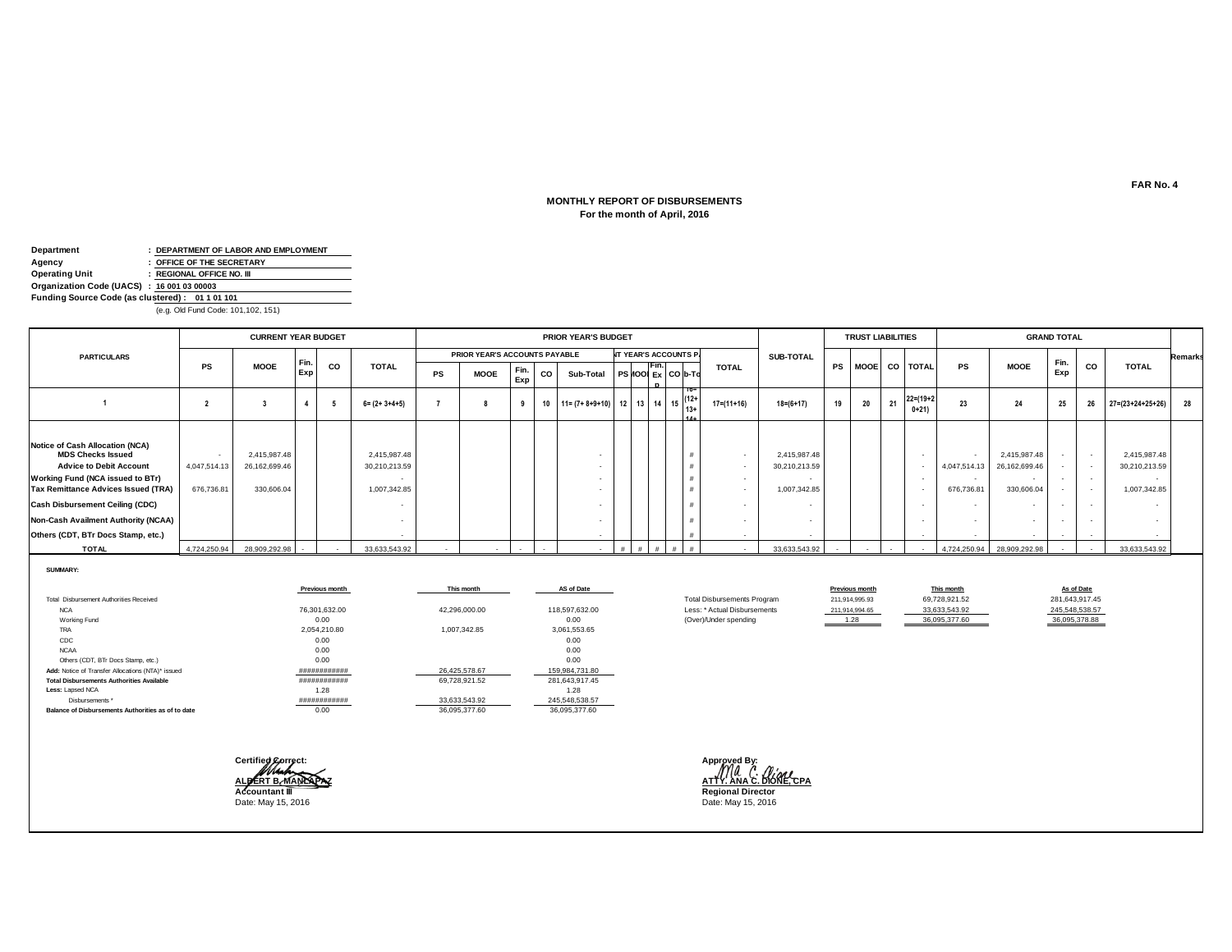#### **For the month of April, 2016 MONTHLY REPORT OF DISBURSEMENTS**

| Department                                      |  | : DEPARTMENT OF LABOR AND EMPLOYMENT |  |  |  |  |  |  |  |  |  |  |
|-------------------------------------------------|--|--------------------------------------|--|--|--|--|--|--|--|--|--|--|
| Agency                                          |  | : OFFICE OF THE SECRETARY            |  |  |  |  |  |  |  |  |  |  |
| Operating Unit                                  |  | : REGIONAL OFFICE NO. III            |  |  |  |  |  |  |  |  |  |  |
| Organization Code (UACS) : 16 001 03 00003      |  |                                      |  |  |  |  |  |  |  |  |  |  |
| Funding Source Code (as clustered): 01 1 01 101 |  |                                      |  |  |  |  |  |  |  |  |  |  |
| (e.g. Old Fund Code: 101,102, 151)              |  |                                      |  |  |  |  |  |  |  |  |  |  |

|                                                                                                                                                                                                                                                                                                        | <b>CURRENT YEAR BUDGET</b> |                                             |            |     |                                               |    |                               |             |    | <b>PRIOR YEAR'S BUDGET</b>                    |  |       |                              |                  |                                               |    | <b>TRUST LIABILITIES</b> |        |                            |                            |                                                                         | <b>GRAND TOTAL</b>                   |                          |                                               |                |
|--------------------------------------------------------------------------------------------------------------------------------------------------------------------------------------------------------------------------------------------------------------------------------------------------------|----------------------------|---------------------------------------------|------------|-----|-----------------------------------------------|----|-------------------------------|-------------|----|-----------------------------------------------|--|-------|------------------------------|------------------|-----------------------------------------------|----|--------------------------|--------|----------------------------|----------------------------|-------------------------------------------------------------------------|--------------------------------------|--------------------------|-----------------------------------------------|----------------|
| <b>PARTICULARS</b>                                                                                                                                                                                                                                                                                     |                            |                                             |            |     |                                               |    | PRIOR YEAR'S ACCOUNTS PAYABLE |             |    |                                               |  |       | <b>NT YEAR'S ACCOUNTS P.</b> |                  | SUB-TOTAL                                     |    |                          |        |                            |                            |                                                                         |                                      |                          |                                               | <b>Remarks</b> |
|                                                                                                                                                                                                                                                                                                        | <b>PS</b>                  | <b>MOOE</b>                                 | Fin<br>Exp | co  | <b>TOTAL</b>                                  | PS | <b>MOOE</b>                   | Fin.<br>Exp | CO | Sub-Total                                     |  | TFin. | $PS$ $IO$ $Ex$ $CO$ $b$ -Td  | <b>TOTAL</b>     |                                               |    |                          |        | PS MOOE CO TOTAL           | PS                         | <b>MOOE</b>                                                             | Fin.<br>Exp                          | CO                       | <b>TOTAL</b>                                  |                |
|                                                                                                                                                                                                                                                                                                        |                            |                                             |            | - 5 | $6 = (2 + 3 + 4 + 5)$                         |    |                               |             |    | 10 $11 = (7 + 8 + 9 + 10)$ 12 13 14 15 $12^+$ |  |       |                              | 17=(11+16)       | $18 = (6 + 17)$                               | 19 | 20                       | 21     | $22 = (19 + 2)$<br>$0+21)$ | 23                         | 24                                                                      | 25                                   | 26                       | $27 = (23 + 24 + 25 + 26)$                    | 28             |
| Notice of Cash Allocation (NCA)<br><b>MDS Checks Issued</b><br><b>Advice to Debit Account</b><br>Working Fund (NCA issued to BTr)<br><b>Tax Remittance Advices Issued (TRA)</b><br><b>Cash Disbursement Ceiling (CDC)</b><br>Non-Cash Availment Authority (NCAA)<br>Others (CDT, BTr Docs Stamp, etc.) | 4,047,514.13<br>676,736.81 | 2,415,987.48<br>26,162,699.46<br>330,606.04 |            |     | 2,415,987.48<br>30,210,213.59<br>1,007,342.85 |    |                               |             |    |                                               |  |       |                              | $\sim$<br>$\sim$ | 2,415,987.48<br>30,210,213.59<br>1,007,342.85 |    |                          |        | $\overline{\phantom{a}}$   | 4,047,514.13<br>676,736.81 | 2,415,987.48<br>26,162,699.46<br>$\overline{\phantom{a}}$<br>330,606.04 | $\sim$<br>$\sim$<br>$\sim$<br>$\sim$ | $\overline{\phantom{a}}$ | 2,415,987.48<br>30,210,213.59<br>1,007,342.85 |                |
| <b>TOTAL</b>                                                                                                                                                                                                                                                                                           |                            | 4,724,250.94 28,909,292.98                  | $\sim$     |     | 33,633,543.92                                 |    |                               |             |    |                                               |  |       |                              |                  | 33,633,543.92                                 |    |                          | $\sim$ |                            | 4,724,250.94               | 28,909,292.98                                                           | $\sim$                               |                          | 33,633,543.92                                 |                |

**SUMMARY:**

|                                                    | Previous month | This month    | AS of Date     |                                    | Previous month | This month    | As of Date     |
|----------------------------------------------------|----------------|---------------|----------------|------------------------------------|----------------|---------------|----------------|
| Total Disbursement Authorities Received            |                |               |                | <b>Total Disbursements Program</b> | 211,914,995.93 | 69,728,921.52 | 281,643,917.45 |
| <b>NCA</b>                                         | 76,301,632.00  | 42,296,000.00 | 118,597,632.00 | Less: * Actual Disbursements       | 211,914,994.65 | 33,633,543.92 | 245,548,538.57 |
| Working Fund                                       | 0.00           |               | 0.00           | (Over)/Under spending              | 1.28           | 36,095,377.60 | 36,095,378.88  |
| TRA                                                | 2.054.210.80   | 1.007.342.85  | 3.061.553.65   |                                    |                |               |                |
| CDC                                                | 0.00           |               | 0.00           |                                    |                |               |                |
| <b>NCAA</b>                                        | 0.00           |               | 0.00           |                                    |                |               |                |
| Others (CDT, BTr Docs Stamp, etc.)                 | 0.00           |               | 0.00           |                                    |                |               |                |
| Add: Notice of Transfer Allocations (NTA)* issued  | ############   | 26,425,578.67 | 159,984,731.80 |                                    |                |               |                |
| <b>Total Disbursements Authorities Available</b>   | ############   | 69,728,921.52 | 281.643.917.45 |                                    |                |               |                |
| Less: Lapsed NCA                                   | 1.28           |               | 1.28           |                                    |                |               |                |
| Disbursements *                                    | ############   | 33,633,543.92 | 245,548,538.57 |                                    |                |               |                |
| Balance of Disbursements Authorities as of to date | 0.00           | 36.095.377.60 | 36,095,377.60  |                                    |                |               |                |

**Certified Correct: Approved By:** Date: May 15, 2016

**ALBERT B. MANLAPAZ ATTY. ANA C. DIONE, CPA Regional Director**<br>Date: May 15, 2016

**Previous month This month As of Date** 36,095,377.60 36,095,378.88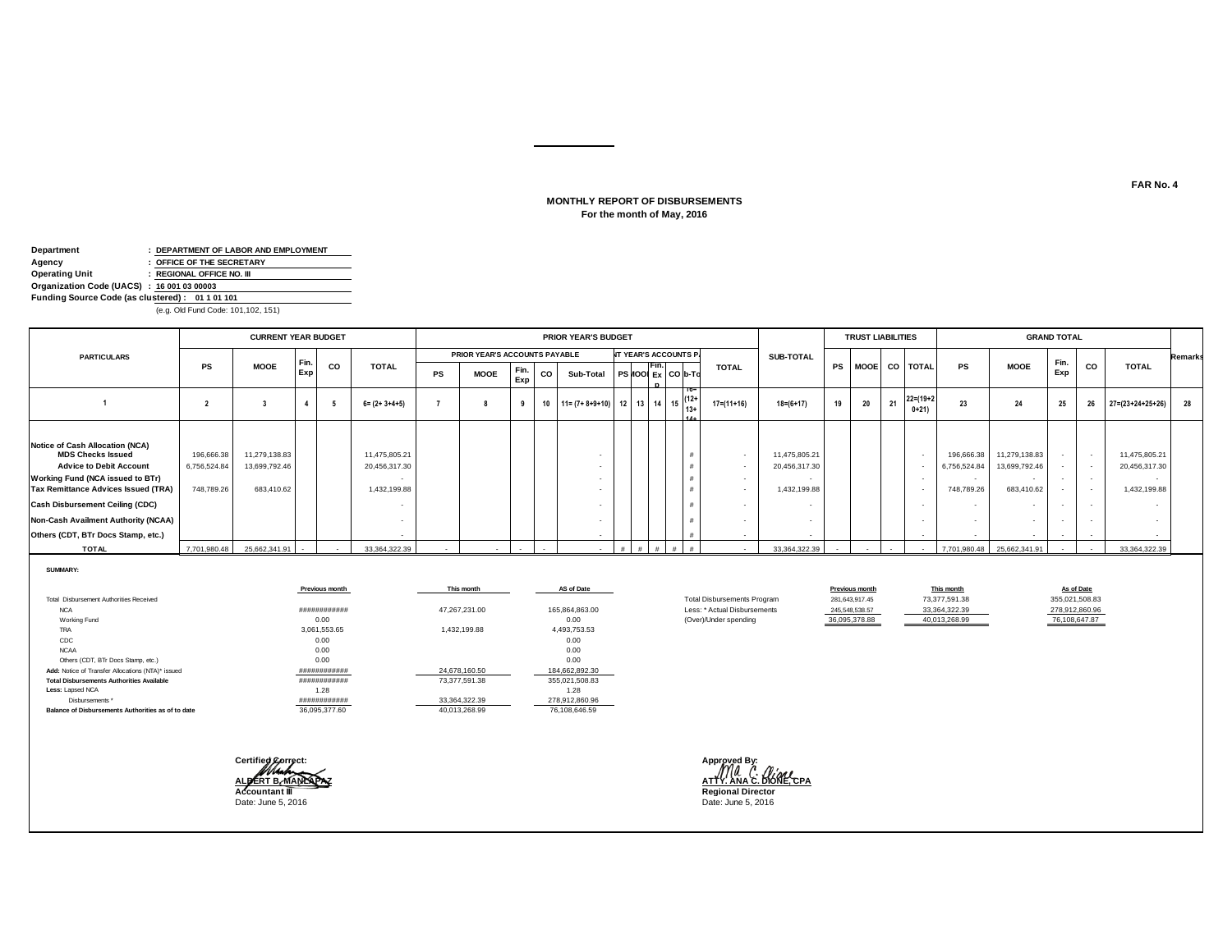#### **For the month of May, 2016 MONTHLY REPORT OF DISBURSEMENTS**

| Department                                      |  | : DEPARTMENT OF LABOR AND EMPLOYMENT |  |  |  |  |  |
|-------------------------------------------------|--|--------------------------------------|--|--|--|--|--|
| Agency                                          |  | : OFFICE OF THE SECRETARY            |  |  |  |  |  |
| Operating Unit                                  |  | : REGIONAL OFFICE NO. III            |  |  |  |  |  |
| Organization Code (UACS) : 16 001 03 00003      |  |                                      |  |  |  |  |  |
| Funding Source Code (as clustered): 01 1 01 101 |  |                                      |  |  |  |  |  |
| (e.g. Old Fund Code: 101,102, 151)              |  |                                      |  |  |  |  |  |

|                                                                                                                                                                                                                                                                                                               |                                          | <b>CURRENT YEAR BUDGET</b>                   |             |     |                                                |    |                               |             |    | <b>PRIOR YEAR'S BUDGET</b>                                                                                  |  |      |                              |                  |                                                |    | <b>TRUST LIABILITIES</b> |    |                           |                                          |                                              | <b>GRAND TOTAL</b>                   |                          |                                                |         |
|---------------------------------------------------------------------------------------------------------------------------------------------------------------------------------------------------------------------------------------------------------------------------------------------------------------|------------------------------------------|----------------------------------------------|-------------|-----|------------------------------------------------|----|-------------------------------|-------------|----|-------------------------------------------------------------------------------------------------------------|--|------|------------------------------|------------------|------------------------------------------------|----|--------------------------|----|---------------------------|------------------------------------------|----------------------------------------------|--------------------------------------|--------------------------|------------------------------------------------|---------|
| <b>PARTICULARS</b>                                                                                                                                                                                                                                                                                            |                                          |                                              |             |     |                                                |    | PRIOR YEAR'S ACCOUNTS PAYABLE |             |    |                                                                                                             |  |      | <b>IT YEAR'S ACCOUNTS P.</b> |                  | SUB-TOTAL                                      |    |                          |    |                           |                                          |                                              |                                      |                          |                                                | Remarks |
|                                                                                                                                                                                                                                                                                                               | PS                                       | <b>MOOE</b>                                  | Fin.<br>Exp | CO  | <b>TOTAL</b>                                   | PS | <b>MOOE</b>                   | Fin.<br>Exp | co | Sub-Total                                                                                                   |  | Fin. | $PS$ $IO$ $E_X$ $CO$ $b$ -Td | <b>TOTAL</b>     |                                                |    |                          |    | PS MOOE CO TOTAL          | <b>PS</b>                                | <b>MOOE</b>                                  | Fin.<br>Exp                          | CO                       | <b>TOTAL</b>                                   |         |
|                                                                                                                                                                                                                                                                                                               |                                          |                                              |             | - 5 | $6 = (2 + 3 + 4 + 5)$                          |    |                               | 9           |    | 10 $11 = (7 + 8 + 9 + 10)$ 12 13 14 15 $\begin{array}{ c c c c c c c c }\n\hline\n112 + 13 & 14 & 15 & 13+$ |  |      |                              | 17=(11+16)       | $18 = (6 + 17)$                                | 19 | 20                       | 21 | $22 = (19 + 2)$<br>$0+21$ | 23                                       | 24                                           | 25                                   | 26                       | $27 = (23 + 24 + 25 + 26)$                     | 28      |
| Notice of Cash Allocation (NCA)<br><b>MDS Checks Issued</b><br><b>Advice to Debit Account</b><br><b>Working Fund (NCA issued to BTr)</b><br><b>Tax Remittance Advices Issued (TRA)</b><br><b>Cash Disbursement Ceiling (CDC)</b><br>Non-Cash Availment Authority (NCAA)<br>Others (CDT, BTr Docs Stamp, etc.) | 196,666.38<br>6,756,524.84<br>748,789.26 | 11,279,138.83<br>13,699,792.46<br>683,410.62 |             |     | 11,475,805.21<br>20,456,317.30<br>1,432,199.88 |    |                               |             |    |                                                                                                             |  |      |                              | $\sim$<br>$\sim$ | 11,475,805.21<br>20,456,317.30<br>1,432,199.88 |    |                          |    | $\overline{\phantom{a}}$  | 196,666.38<br>6,756,524.84<br>748,789.26 | 11,279,138.83<br>13,699,792.46<br>683,410.62 | $\sim$<br>$\sim$<br>$\sim$<br>$\sim$ | $\overline{\phantom{a}}$ | 11,475,805.21<br>20,456,317.30<br>1,432,199.88 |         |
| <b>TOTAL</b>                                                                                                                                                                                                                                                                                                  | 7,701,980.48                             | 25,662,341.91                                |             |     | 33,364,322.39                                  |    |                               |             |    |                                                                                                             |  |      |                              |                  | 33,364,322.39                                  |    |                          |    |                           | 7,701,980.48                             | 25,662,341.91                                |                                      |                          | 33,364,322.39                                  |         |

**SUMMARY:**

|                                                    | Previous month | This month    | AS of Date     |                                    | Previous month | This month    | As of Date     |
|----------------------------------------------------|----------------|---------------|----------------|------------------------------------|----------------|---------------|----------------|
| <b>Total Disbursement Authorities Received</b>     |                |               |                | <b>Total Disbursements Program</b> | 281,643,917.45 | 73,377,591.38 | 355,021,508.83 |
| <b>NCA</b>                                         | ############   | 47,267,231.00 | 165,864,863.00 | Less: * Actual Disbursements       | 245,548,538.57 | 33,364,322.39 | 278,912,860.96 |
| Working Fund                                       | 0.00           |               | 0.00           | (Over)/Under spending              | 36,095,378.88  | 40,013,268.99 | 76,108,647.87  |
| TRA                                                | 3,061,553.65   | 1,432,199.88  | 4,493,753.53   |                                    |                |               |                |
| CDC                                                | 0.00           |               | 0.00           |                                    |                |               |                |
| <b>NCAA</b>                                        | 0.00           |               | 0.00           |                                    |                |               |                |
| Others (CDT, BTr Docs Stamp, etc.)                 | 0.00           |               | 0.00           |                                    |                |               |                |
| Add: Notice of Transfer Allocations (NTA)* issued  | ############   | 24.678.160.50 | 184,662,892.30 |                                    |                |               |                |
| <b>Total Disbursements Authorities Available</b>   | ############   | 73,377,591.38 | 355,021,508.83 |                                    |                |               |                |
| Less: Lapsed NCA                                   | 1.28           |               | 1.28           |                                    |                |               |                |
| Disbursements *                                    | ############   | 33.364.322.39 | 278,912,860.96 |                                    |                |               |                |
| Balance of Disbursements Authorities as of to date | 36.095.377.60  | 40.013.268.99 | 76.108.646.59  |                                    |                |               |                |

**Certified Correct: Approved By:** Date: June 5, 2016 Date: June 5, 2016

**ALBERT B. MANLAPAZ ATTY. ANA C. DIONE, CPA Accountant III Regional Director**

**Previous month This month As of Date**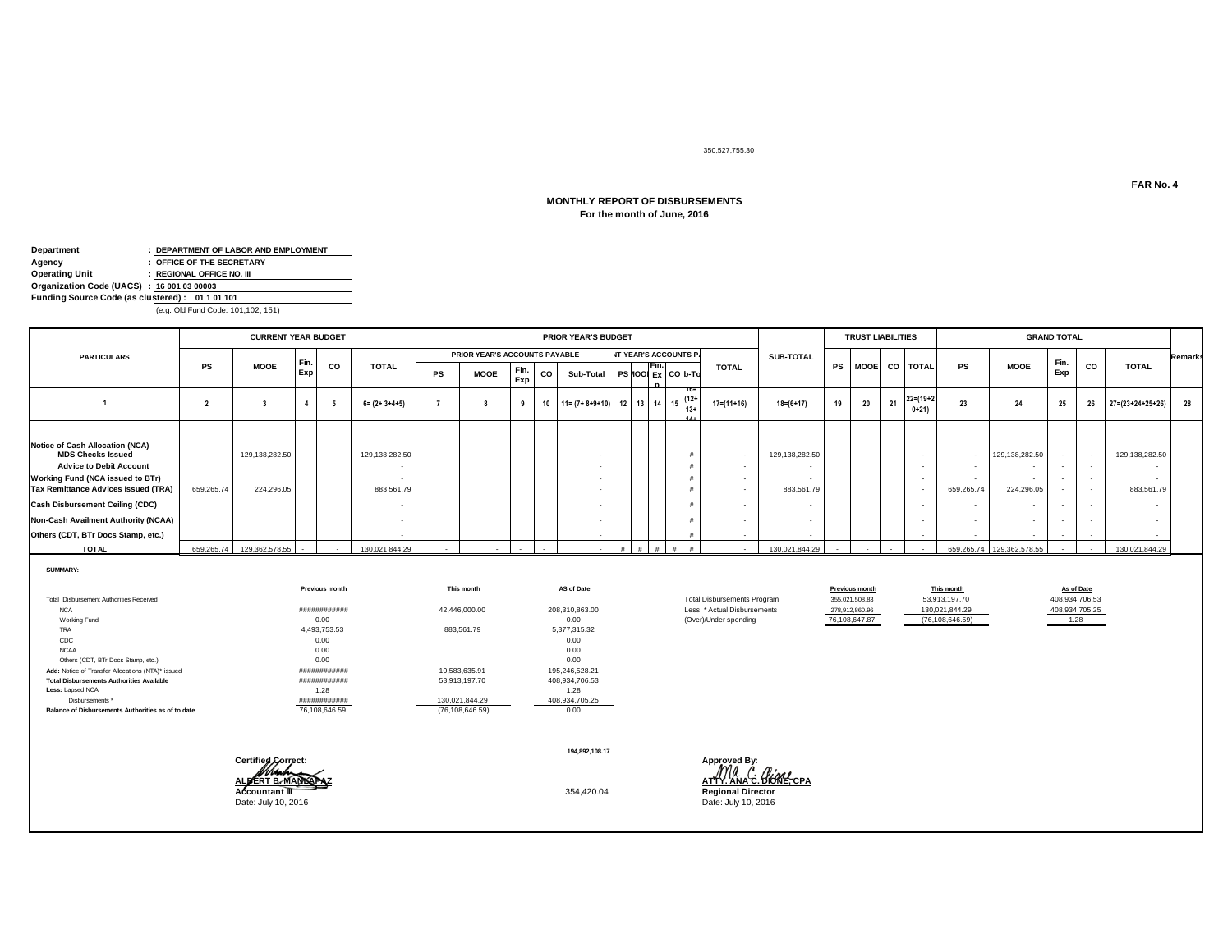350,527,755.30

# **MONTHLY REPORT OF DISBURSEMENTS**

# **For the month of June, 2016**

| Department                                      |  | : DEPARTMENT OF LABOR AND EMPLOYMENT |  |  |  |  |
|-------------------------------------------------|--|--------------------------------------|--|--|--|--|
| Agency                                          |  | : OFFICE OF THE SECRETARY            |  |  |  |  |
| Operating Unit                                  |  | : REGIONAL OFFICE NO. III            |  |  |  |  |
| Organization Code (UACS) : 16 001 03 00003      |  |                                      |  |  |  |  |
| Funding Source Code (as clustered): 01 1 01 101 |  |                                      |  |  |  |  |
| (e.g. Old Fund Code: 101,102, 151)              |  |                                      |  |  |  |  |

|                                                                                                                                                                                                                                                                                                        |            | <b>CURRENT YEAR BUDGET</b>   |             |                          |                              |           |                               |             |    | <b>PRIOR YEAR'S BUDGET</b>             |  |       |                              |                  |                              |           | <b>TRUST LIABILITIES</b> |     |                                              |            |                                        | <b>GRAND TOTAL</b>                   |    |                              |                |
|--------------------------------------------------------------------------------------------------------------------------------------------------------------------------------------------------------------------------------------------------------------------------------------------------------|------------|------------------------------|-------------|--------------------------|------------------------------|-----------|-------------------------------|-------------|----|----------------------------------------|--|-------|------------------------------|------------------|------------------------------|-----------|--------------------------|-----|----------------------------------------------|------------|----------------------------------------|--------------------------------------|----|------------------------------|----------------|
| <b>PARTICULARS</b>                                                                                                                                                                                                                                                                                     |            |                              |             |                          |                              |           | PRIOR YEAR'S ACCOUNTS PAYABLE |             |    |                                        |  |       | <b>NT YEAR'S ACCOUNTS P.</b> |                  | <b>SUB-TOTAL</b>             |           |                          |     |                                              |            |                                        |                                      |    |                              | <b>Remarks</b> |
|                                                                                                                                                                                                                                                                                                        | PS         | <b>MOOE</b>                  | Fin.<br>Exp | co                       | <b>TOTAL</b>                 | <b>PS</b> | <b>MOOE</b>                   | Fin.<br>Exp | CO | Sub-Total                              |  | IFin. | $PS$ $IO$ $Ex$ $CO$ $b$ -To  | <b>TOTAL</b>     |                              | <b>PS</b> |                          |     | MOOE CO TOTAL                                | <b>PS</b>  | <b>MOOE</b>                            | Fin.<br>Exp                          | CO | <b>TOTAL</b>                 |                |
|                                                                                                                                                                                                                                                                                                        |            |                              |             |                          | $6 = (2 + 3 + 4 + 5)$        |           |                               |             |    | 10 $11 = (7 + 8 + 9 + 10)$ 12 13 14 15 |  |       | $(12 +$<br>13+               | $17 = (11 + 16)$ | $18 = (6 + 17)$              | 19        | 20                       | -21 | $22 = (19 + 2)$<br>$0+21$                    | 23         | 24                                     | 25                                   | 26 | $27 = (23 + 24 + 25 + 26)$   | 28             |
| <b>Notice of Cash Allocation (NCA)</b><br><b>MDS Checks Issued</b><br><b>Advice to Debit Account</b><br>Working Fund (NCA issued to BTr)<br>Tax Remittance Advices Issued (TRA)<br><b>Cash Disbursement Ceiling (CDC)</b><br>Non-Cash Availment Authority (NCAA)<br>Others (CDT, BTr Docs Stamp, etc.) | 659,265.74 | 129,138,282.50<br>224.296.05 |             |                          | 129,138,282.50<br>883,561.79 |           |                               |             |    |                                        |  |       |                              | $\sim$<br>. .    | 129,138,282.50<br>883,561.79 |           |                          |     | $\overline{\phantom{a}}$<br>$\sim$<br>$\sim$ | 659,265.74 | 129,138,282.50<br>224,296.05<br>$\sim$ | $\sim$<br>$\sim$<br>$\sim$<br>$\sim$ |    | 129,138,282.50<br>883,561.79 |                |
| <b>TOTAL</b>                                                                                                                                                                                                                                                                                           |            | 659,265.74 129,362,578.55    | $\sim$      | $\overline{\phantom{a}}$ | 130,021,844.29               |           |                               |             |    |                                        |  |       | #                            |                  | 130,021,844.29               |           | $\sim$                   |     |                                              |            | 659,265.74 129,362,578.55              |                                      |    | 130,021,844.29               |                |

**SUMMARY:**

|                                                    | Previous month | This month        | AS of Date     |                                    | Previous month | This month        | As of Date     |
|----------------------------------------------------|----------------|-------------------|----------------|------------------------------------|----------------|-------------------|----------------|
| Total Disbursement Authorities Received            |                |                   |                | <b>Total Disbursements Program</b> | 355,021,508.83 | 53,913,197.70     | 408,934,706.53 |
| <b>NCA</b>                                         | ############   | 42,446,000.00     | 208,310,863.00 | Less: * Actual Disbursements       | 278.912.860.96 | 130.021.844.29    | 408,934,705.25 |
| Working Fund                                       | 0.00           |                   | 0.00           | (Over)/Under spending              | 76,108,647.87  | (76, 108, 646.59) | 1.28           |
| TRA                                                | 4.493.753.53   | 883.561.79        | 5.377.315.32   |                                    |                |                   |                |
| CDC                                                | 0.00           |                   | 0.00           |                                    |                |                   |                |
| <b>NCAA</b>                                        | 0.00           |                   | 0.00           |                                    |                |                   |                |
| Others (CDT, BTr Docs Stamp, etc.)                 | 0.00           |                   | 0.00           |                                    |                |                   |                |
| Add: Notice of Transfer Allocations (NTA)* issued  | ############   | 10,583,635.91     | 195,246,528.21 |                                    |                |                   |                |
| <b>Total Disbursements Authorities Available</b>   | ############   | 53,913,197.70     | 408,934,706.53 |                                    |                |                   |                |
| Less: Lapsed NCA                                   | 1.28           |                   | 1.28           |                                    |                |                   |                |
| Disbursements *                                    | ############   | 130.021.844.29    | 408,934,705.25 |                                    |                |                   |                |
| Balance of Disbursements Authorities as of to date | 76,108,646.59  | (76, 108, 646.59) | 0.00           |                                    |                |                   |                |

| Certified Correct: |  | 194.892.108.17 | Approved By: |
|--------------------|--|----------------|--------------|
|                    |  |                |              |

**ALBERT B. MANLAPAZ ATTY. ANA C. DIONE, CPA Accountant III** 354,420.04 **Regional Director**<br>Date: July 10, 2016 **Date: July 10, 2016** Date: July 10, 2016

**Previous month This month As of Date**<br>
355,021,508.83 53,913,197.70 408,934,706.53<br>
278,912,860.96 130,021,844.29 408,934,705.25 (76,108,646.59) 1.28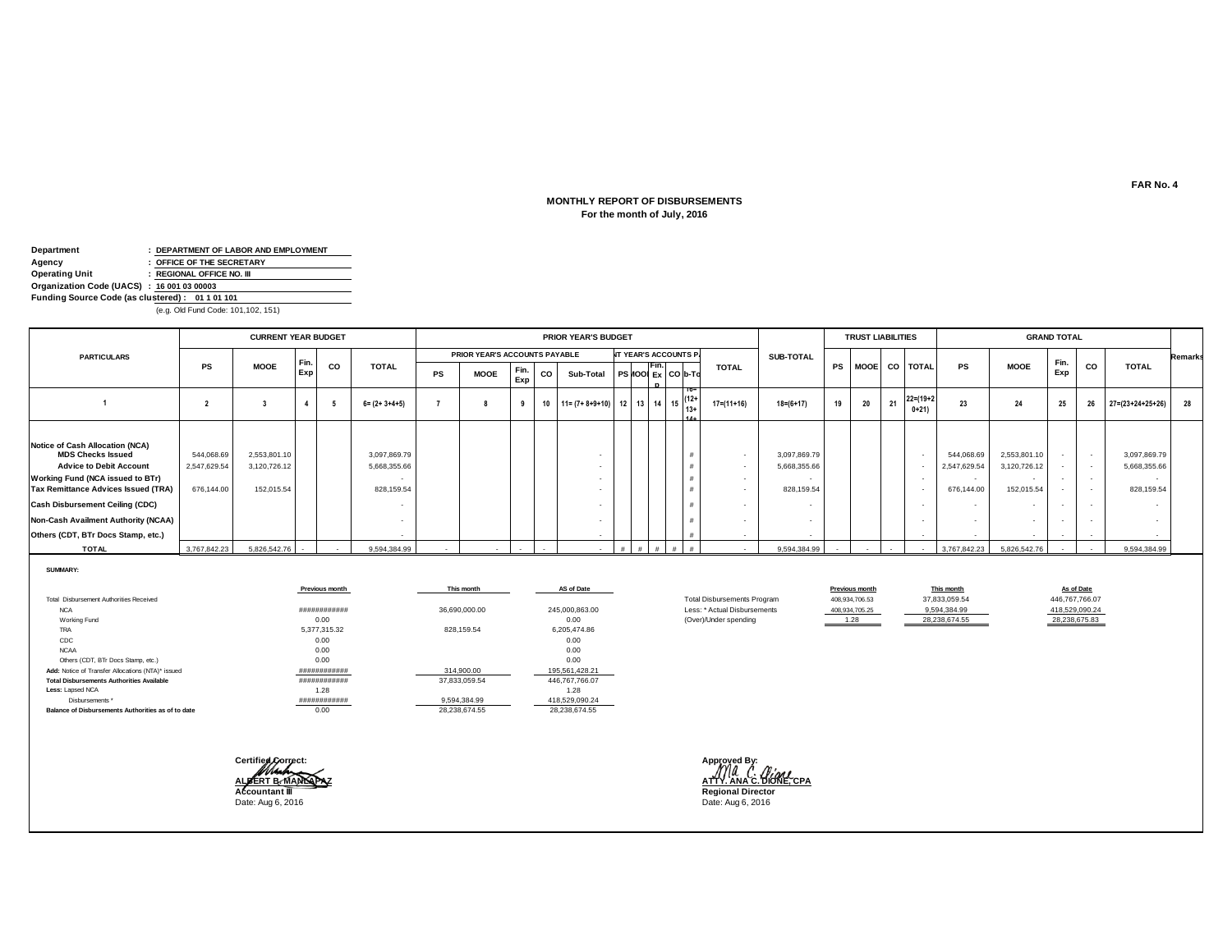#### **MONTHLY REPORT OF DISBURSEMENTS For the month of July, 2016**

| Department                                 |                                                 | : DEPARTMENT OF LABOR AND EMPLOYMENT |  |  |  |  |  |
|--------------------------------------------|-------------------------------------------------|--------------------------------------|--|--|--|--|--|
| Agency                                     |                                                 | : OFFICE OF THE SECRETARY            |  |  |  |  |  |
| Operating Unit                             |                                                 | : REGIONAL OFFICE NO. III            |  |  |  |  |  |
| Organization Code (UACS) : 16 001 03 00003 |                                                 |                                      |  |  |  |  |  |
|                                            | Funding Source Code (as clustered): 01 1 01 101 |                                      |  |  |  |  |  |
| (e.g. Old Fund Code: 101,102, 151)         |                                                 |                                      |  |  |  |  |  |

|                                                                                                                                                                                                                                                                                                               |                                          | <b>CURRENT YEAR BUDGET</b>                 |             |    |                                            |           |                               |             |    | <b>PRIOR YEAR'S BUDGET</b> |  |                                                                             |        |                  |                                            |    | <b>TRUST LIABILITIES</b> |    |                           |                                                    |                                                      | <b>GRAND TOTAL</b>                             |                                                      |                                            |         |
|---------------------------------------------------------------------------------------------------------------------------------------------------------------------------------------------------------------------------------------------------------------------------------------------------------------|------------------------------------------|--------------------------------------------|-------------|----|--------------------------------------------|-----------|-------------------------------|-------------|----|----------------------------|--|-----------------------------------------------------------------------------|--------|------------------|--------------------------------------------|----|--------------------------|----|---------------------------|----------------------------------------------------|------------------------------------------------------|------------------------------------------------|------------------------------------------------------|--------------------------------------------|---------|
| <b>PARTICULARS</b>                                                                                                                                                                                                                                                                                            |                                          |                                            |             |    |                                            |           | PRIOR YEAR'S ACCOUNTS PAYABLE |             |    |                            |  | <b>NT YEAR'S ACCOUNTS P.</b>                                                |        |                  | <b>SUB-TOTAL</b>                           |    |                          |    |                           |                                                    |                                                      |                                                |                                                      |                                            | Remarks |
|                                                                                                                                                                                                                                                                                                               | <b>PS</b>                                | <b>MOOE</b>                                | Fin.<br>Exp | CO | <b>TOTAL</b>                               | <b>PS</b> | <b>MOOE</b>                   | Fin.<br>Exp | CO | Sub-Total                  |  | Fın.<br>$ $ PS $ $ 00 $ _{Ex} $ CO $ _{b}$ -To                              |        | <b>TOTAL</b>     |                                            |    |                          |    | PS MOOE CO TOTAL          | <b>PS</b>                                          | <b>MOOE</b>                                          | Fin.<br>Exp                                    | CO                                                   | <b>TOTAL</b>                               |         |
|                                                                                                                                                                                                                                                                                                               |                                          |                                            |             |    | $6 = (2 + 3 + 4 + 5)$                      |           |                               |             | 10 | $11 = (7 + 8 + 9 + 10)$    |  | $12$ 13 14 15 $\begin{array}{ c c } \hline 12^+ \\ \hline 13^+ \end{array}$ | .      | $17 = (11 + 16)$ | $18 = (6 + 17)$                            | 19 | 20                       | 21 | $22 = (19 + 2)$<br>$0+21$ | 23                                                 | 24                                                   | 25                                             | -26                                                  | $27 = (23 + 24 + 25 + 26)$                 | 28      |
| <b>Notice of Cash Allocation (NCA)</b><br><b>MDS Checks Issued</b><br><b>Advice to Debit Account</b><br>Working Fund (NCA issued to BTr)<br>Tax Remittance Advices Issued (TRA)<br><b>Cash Disbursement Ceiling (CDC)</b><br><b>Non-Cash Availment Authority (NCAA)</b><br>Others (CDT, BTr Docs Stamp, etc.) | 544,068.69<br>2,547,629.54<br>676,144.00 | 2,553,801.10<br>3,120,726.12<br>152,015.54 |             |    | 3,097,869.79<br>5,668,355.66<br>828,159.54 |           |                               |             |    | $\sim$                     |  |                                                                             |        | $\sim$<br>$\sim$ | 3,097,869.79<br>5,668,355.66<br>828,159.54 |    |                          |    | $\sim$                    | 544,068.69<br>2,547,629.54<br>$\sim$<br>676,144.00 | 2,553,801.10<br>3,120,726.12<br>$\sim$<br>152,015.54 | $\sim$<br>$\sim$<br>$\sim$<br>$\sim$<br>$\sim$ | $\overline{\phantom{a}}$<br>$\overline{\phantom{a}}$ | 3,097,869.79<br>5,668,355.66<br>828,159.54 |         |
| <b>TOTAL</b>                                                                                                                                                                                                                                                                                                  | 3,767,842.23                             | 5,826,542.76                               | $\sim$      |    | 9,594,384.99                               |           |                               |             |    |                            |  |                                                                             | #<br># |                  | 9,594,384.99                               |    |                          |    |                           | 3,767,842.23                                       | 5,826,542.76                                         |                                                |                                                      | 9,594,384.99                               |         |

**SUMMARY:**

|                                                    | Previous month | This month    | AS of Date     |                                    | Previous month | This month    | As of Date     |
|----------------------------------------------------|----------------|---------------|----------------|------------------------------------|----------------|---------------|----------------|
| <b>Total Disbursement Authorities Received</b>     |                |               |                | <b>Total Disbursements Program</b> | 408,934,706.53 | 37,833,059.54 | 446,767,766.07 |
| <b>NCA</b>                                         | ############   | 36,690,000.00 | 245,000,863.00 | Less: * Actual Disbursements       | 408.934.705.25 | 9,594,384.99  | 418,529,090.24 |
| Working Fund                                       | 0.00           |               | 0.00           | (Over)/Under spending              | 1.28           | 28,238,674.55 | 28,238,675.83  |
| TRA                                                | 5,377,315.32   | 828,159.54    | 6.205.474.86   |                                    |                |               |                |
| CDC                                                | 0.00           |               | 0.00           |                                    |                |               |                |
| <b>NCAA</b>                                        | 0.00           |               | 0.00           |                                    |                |               |                |
| Others (CDT, BTr Docs Stamp, etc.)                 | 0.00           |               | 0.00           |                                    |                |               |                |
| Add: Notice of Transfer Allocations (NTA)* issued  | ############   | 314.900.00    | 195,561,428.21 |                                    |                |               |                |
| <b>Total Disbursements Authorities Available</b>   | ############   | 37,833,059.54 | 446,767,766.07 |                                    |                |               |                |
| Less: Lapsed NCA                                   | 1.28           |               | 1.28           |                                    |                |               |                |
| Disbursements *                                    | ############   | 9,594,384.99  | 418,529,090.24 |                                    |                |               |                |
| Balance of Disbursements Authorities as of to date | 0.00           | 28.238.674.55 | 28.238.674.55  |                                    |                |               |                |

 $\text{Certified}$ Date: Aug 6, 2016

**ALBERT B. MANLAPAZ ATTY. ANA C. DIONE, CPA Regional Director**<br>Date: Aug 6, 2016

As of Date<br>446,767,766.07<br>418,529,090.24<br>28,238,675.83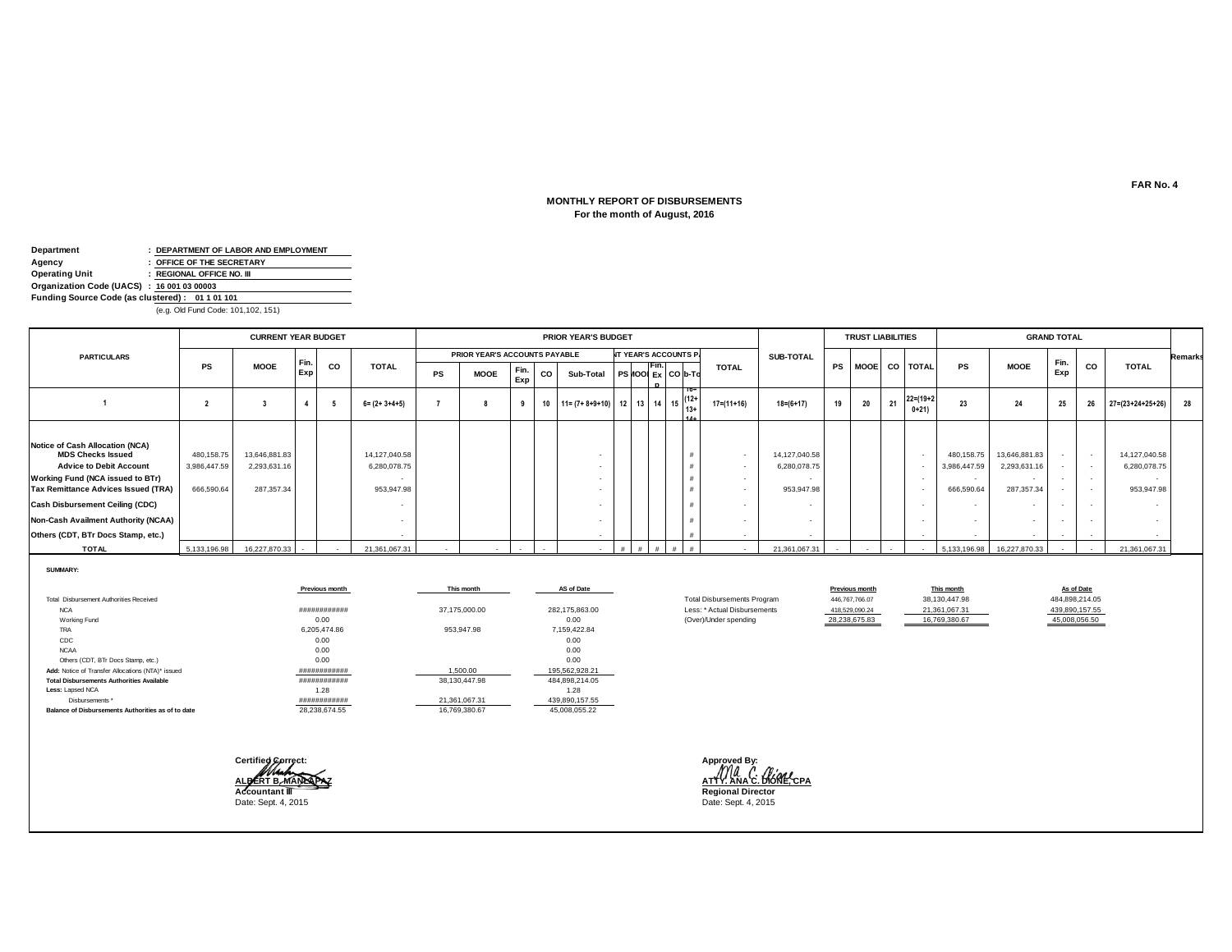#### **MONTHLY REPORT OF DISBURSEMENTS For the month of August, 2016**

| Department                                      |  | : DEPARTMENT OF LABOR AND EMPLOYMENT |  |  |  |  |  |
|-------------------------------------------------|--|--------------------------------------|--|--|--|--|--|
| Agency                                          |  | : OFFICE OF THE SECRETARY            |  |  |  |  |  |
| Operating Unit                                  |  | : REGIONAL OFFICE NO. III            |  |  |  |  |  |
| Organization Code (UACS) : 16 001 03 00003      |  |                                      |  |  |  |  |  |
| Funding Source Code (as clustered): 01 1 01 101 |  |                                      |  |  |  |  |  |
| (e.g. Old Fund Code: 101,102, 151)              |  |                                      |  |  |  |  |  |

|                                                                                                                                                                                                                                                                                                        |                                          | <b>CURRENT YEAR BUDGET</b>                  |            |     |                                             |    |                               |             |    | <b>PRIOR YEAR'S BUDGET</b>                    |  |       |                              |              |                                             |    | <b>TRUST LIABILITIES</b> |    |                                                      |                                          |                                             | <b>GRAND TOTAL</b>         |                          |                                             |                |
|--------------------------------------------------------------------------------------------------------------------------------------------------------------------------------------------------------------------------------------------------------------------------------------------------------|------------------------------------------|---------------------------------------------|------------|-----|---------------------------------------------|----|-------------------------------|-------------|----|-----------------------------------------------|--|-------|------------------------------|--------------|---------------------------------------------|----|--------------------------|----|------------------------------------------------------|------------------------------------------|---------------------------------------------|----------------------------|--------------------------|---------------------------------------------|----------------|
| <b>PARTICULARS</b>                                                                                                                                                                                                                                                                                     |                                          |                                             |            |     |                                             |    | PRIOR YEAR'S ACCOUNTS PAYABLE |             |    |                                               |  |       | <b>NT YEAR'S ACCOUNTS P.</b> |              | SUB-TOTAL                                   |    |                          |    |                                                      |                                          |                                             |                            |                          |                                             | <b>Remarks</b> |
|                                                                                                                                                                                                                                                                                                        | <b>PS</b>                                | <b>MOOE</b>                                 | Fin<br>Exp | co  | <b>TOTAL</b>                                | PS | <b>MOOE</b>                   | Fin.<br>Exp | CO | Sub-Total                                     |  | TFin. | $PS$ $IO$ $Ex$ $CO$ $b$ -Td  | <b>TOTAL</b> |                                             |    |                          |    | PS MOOE CO TOTAL                                     | PS                                       | <b>MOOE</b>                                 | Fin.<br>Exp                | CO                       | <b>TOTAL</b>                                |                |
|                                                                                                                                                                                                                                                                                                        |                                          |                                             |            | - 5 | $6 = (2 + 3 + 4 + 5)$                       |    |                               |             |    | 10 $11 = (7 + 8 + 9 + 10)$ 12 13 14 15 $12^+$ |  |       |                              | 17=(11+16)   | $18 = (6 + 17)$                             | 19 | 20                       | 21 | $22 = (19 + 2)$<br>$0+21)$                           | 23                                       | 24                                          | 25                         | 26                       | $27 = (23 + 24 + 25 + 26)$                  | 28             |
| Notice of Cash Allocation (NCA)<br><b>MDS Checks Issued</b><br><b>Advice to Debit Account</b><br>Working Fund (NCA issued to BTr)<br><b>Tax Remittance Advices Issued (TRA)</b><br><b>Cash Disbursement Ceiling (CDC)</b><br>Non-Cash Availment Authority (NCAA)<br>Others (CDT, BTr Docs Stamp, etc.) | 480,158.75<br>3,986,447.59<br>666,590.64 | 13,646,881.83<br>2,293,631.16<br>287,357.34 |            |     | 14,127,040.58<br>6,280,078.75<br>953,947.98 |    |                               |             |    |                                               |  |       |                              | $\sim$       | 14,127,040.58<br>6,280,078.75<br>953,947.98 |    |                          |    | $\overline{\phantom{a}}$<br>$\overline{\phantom{a}}$ | 480,158.75<br>3,986,447.59<br>666,590.64 | 13,646,881.83<br>2,293,631.16<br>287,357.34 | $\sim$<br>$\sim$<br>$\sim$ | $\overline{\phantom{a}}$ | 14,127,040.58<br>6,280,078.75<br>953,947.98 |                |
| <b>TOTAL</b>                                                                                                                                                                                                                                                                                           | 5,133,196.98                             | 16,227,870.33                               |            |     | 21,361,067.31                               |    |                               |             |    |                                               |  |       |                              |              | 21,361,067.31                               |    |                          |    |                                                      | 5,133,196.98                             | 16,227,870.33                               | $\sim$                     |                          | 21,361,067.31                               |                |

**SUMMARY:**

|                                                    | Previous month | This month    | AS of Date     |                                    | Previous month | This month    | As of Date     |
|----------------------------------------------------|----------------|---------------|----------------|------------------------------------|----------------|---------------|----------------|
| <b>Total Disbursement Authorities Received</b>     |                |               |                | <b>Total Disbursements Program</b> | 446,767,766.07 | 38,130,447.98 | 484,898,214.05 |
| <b>NCA</b>                                         | ############   | 37,175,000.00 | 282,175,863.00 | Less: * Actual Disbursements       | 418,529,090.24 | 21,361,067.31 | 439,890,157.55 |
| Working Fund                                       | 0.00           |               | 0.00           | (Over)/Under spending              | 28,238,675.83  | 16,769,380.67 | 45,008,056.50  |
| TRA                                                | 6.205.474.86   | 953.947.98    | 7,159,422.84   |                                    |                |               |                |
| CDC                                                | 0.00           |               | 0.00           |                                    |                |               |                |
| <b>NCAA</b>                                        | 0.00           |               | 0.00           |                                    |                |               |                |
| Others (CDT, BTr Docs Stamp, etc.)                 | 0.00           |               | 0.00           |                                    |                |               |                |
| Add: Notice of Transfer Allocations (NTA)* issued  | ############   | .500.00       | 195,562,928.21 |                                    |                |               |                |
| <b>Total Disbursements Authorities Available</b>   | ############   | 38.130.447.98 | 484.898.214.05 |                                    |                |               |                |
| Less: Lapsed NCA                                   | 1.28           |               | 1.28           |                                    |                |               |                |
| Disbursements *                                    | ############   | 21,361,067.31 | 439,890,157.55 |                                    |                |               |                |
| Balance of Disbursements Authorities as of to date | 28,238,674.55  | 16.769.380.67 | 45.008.055.22  |                                    |                |               |                |

**Certified Correct: Approved By:**

**ALBERT B. MANLAPAZ ATTY. ANA C. DIONE, CPA Accountant III Regional Director**<br>
Date: Sept. 4, 2015<br> **Date: Sept. 4, 2015** Date: Sept. 4, 2015

**FAR No. 4**

16,190,447,98<br>
16,130,447,98<br>
16,361,067.31<br>
16,769,380.67<br>
16,769,380.67<br>
16,769,380.67<br>
16,008,056.50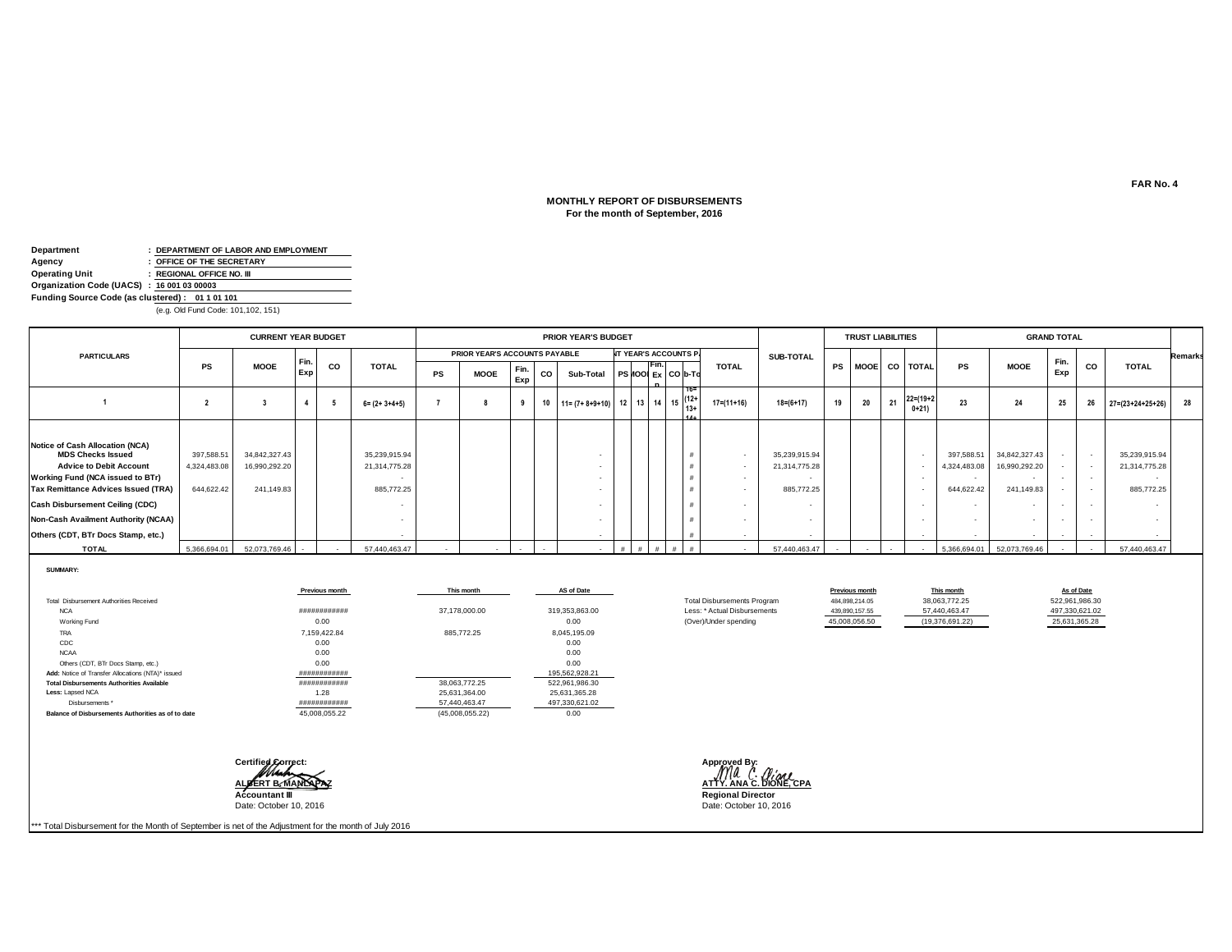# **MONTHLY REPORT OF DISBURSEMENTS For the month of September, 2016**

| Department                                      |  | : DEPARTMENT OF LABOR AND EMPLOYMENT |  |  |  |  |  |  |
|-------------------------------------------------|--|--------------------------------------|--|--|--|--|--|--|
| Agency                                          |  | : OFFICE OF THE SECRETARY            |  |  |  |  |  |  |
| <b>Operating Unit</b>                           |  | : REGIONAL OFFICE NO. III            |  |  |  |  |  |  |
| Organization Code (UACS) : 16 001 03 00003      |  |                                      |  |  |  |  |  |  |
| Funding Source Code (as clustered): 01 1 01 101 |  |                                      |  |  |  |  |  |  |
| (e.g. Old Fund Code: 101,102, 151)              |  |                                      |  |  |  |  |  |  |

|                                                                                                                                                                                                                                                                                                        |                                          | <b>CURRENT YEAR BUDGET</b>                   |            |    |                                              |           |                               |             |    | <b>PRIOR YEAR'S BUDGET</b>                            |                          |       |                              |                  |                                              |    | <b>TRUST LIABILITIES</b> |    |                           |                                                    |                                                                          | <b>GRAND TOTAL</b> |    |                                              |         |
|--------------------------------------------------------------------------------------------------------------------------------------------------------------------------------------------------------------------------------------------------------------------------------------------------------|------------------------------------------|----------------------------------------------|------------|----|----------------------------------------------|-----------|-------------------------------|-------------|----|-------------------------------------------------------|--------------------------|-------|------------------------------|------------------|----------------------------------------------|----|--------------------------|----|---------------------------|----------------------------------------------------|--------------------------------------------------------------------------|--------------------|----|----------------------------------------------|---------|
| <b>PARTICULARS</b>                                                                                                                                                                                                                                                                                     |                                          |                                              |            |    |                                              |           | PRIOR YEAR'S ACCOUNTS PAYABLE |             |    |                                                       |                          |       | <b>IT YEAR'S ACCOUNTS P.</b> |                  | <b>SUB-TOTAL</b>                             |    |                          |    |                           |                                                    |                                                                          |                    |    |                                              | Remarks |
|                                                                                                                                                                                                                                                                                                        | PS                                       | <b>MOOE</b>                                  | Fin<br>Exp | CO | <b>TOTAL</b>                                 | <b>PS</b> | <b>MOOE</b>                   | Fin.<br>Exp | CO | Sub-Total                                             |                          | TFin. | PS 100 Ex CO b-Td            | <b>TOTAL</b>     |                                              | PS |                          |    | MOOE CO TOTAL             | <b>PS</b>                                          | <b>MOOE</b>                                                              | Fin<br>Exp         | CO | <b>TOTAL</b>                                 |         |
|                                                                                                                                                                                                                                                                                                        |                                          |                                              |            |    | $6 = (2 + 3 + 4 + 5)$                        |           |                               |             |    | 10 $11 = (7 + 8 + 9 + 10)$ 12 13 14 15 $12 + 13 + 15$ |                          |       |                              | $17 = (11 + 16)$ | $18 = (6 + 17)$                              | 19 | 20                       | 21 | $22 = (19 + 2)$<br>$0+21$ | 23                                                 | 24                                                                       | 25                 | 26 | $27 = (23 + 24 + 25 + 26)$                   | 28      |
| Notice of Cash Allocation (NCA)<br><b>MDS Checks Issued</b><br><b>Advice to Debit Account</b><br>Working Fund (NCA issued to BTr)<br><b>Tax Remittance Advices Issued (TRA)</b><br><b>Cash Disbursement Ceiling (CDC)</b><br>Non-Cash Availment Authority (NCAA)<br>Others (CDT, BTr Docs Stamp, etc.) | 397,588.51<br>4,324,483.08<br>644,622.42 | 34,842,327.43<br>16,990,292.20<br>241,149.83 |            |    | 35,239,915.94<br>21,314,775.28<br>885,772.25 |           |                               |             |    |                                                       | $\overline{\phantom{a}}$ |       |                              | $\sim$           | 35,239,915.94<br>21,314,775.28<br>885,772.25 |    |                          |    |                           | 397,588.51<br>4,324,483.08<br>644,622.42<br>$\sim$ | 34,842,327.43<br>16,990,292.20<br>241,149.83<br>$\overline{\phantom{a}}$ | $\sim$             |    | 35,239,915.94<br>21,314,775.28<br>885,772.25 |         |
| <b>TOTAL</b>                                                                                                                                                                                                                                                                                           | 5,366,694.01                             | 52,073,769.46                                |            |    | 57,440,463.47                                |           |                               |             |    |                                                       |                          |       |                              |                  | 57,440,463.47                                |    |                          |    |                           | 5,366,694.01                                       | 52,073,769.46                                                            |                    |    | 57,440,463.47                                |         |

**SUMMARY:**

|                                                    | Previous month | This month      | AS of Date     |                                    | Previous month | This month      | As of Date  |
|----------------------------------------------------|----------------|-----------------|----------------|------------------------------------|----------------|-----------------|-------------|
| Total Disbursement Authorities Received            |                |                 |                | <b>Total Disbursements Program</b> | 484.898.214.05 | 38,063,772.25   | 522,961,986 |
| <b>NCA</b>                                         | ############   | 37,178,000.00   | 319,353,863.00 | Less: * Actual Disbursements       | 439,890,157.55 | 57,440,463.47   | 497,330,621 |
| Working Fund                                       | 0.00           |                 | 0.00           | (Over)/Under spending              | 45,008,056.50  | (19,376,691.22) | 25,631,365. |
| TRA                                                | 7.159.422.84   | 885,772.25      | 8.045.195.09   |                                    |                |                 |             |
| CDC                                                | 0.00           |                 | 0.00           |                                    |                |                 |             |
| <b>NCAA</b>                                        | 0.00           |                 | 0.00           |                                    |                |                 |             |
| Others (CDT, BTr Docs Stamp, etc.)                 | 0.00           |                 | 0.00           |                                    |                |                 |             |
| Add: Notice of Transfer Allocations (NTA)* issued  | ############   |                 | 195.562.928.21 |                                    |                |                 |             |
| <b>Total Disbursements Authorities Available</b>   | ############   | 38.063.772.25   | 522,961,986.30 |                                    |                |                 |             |
| Less: Lapsed NCA                                   | 1.28           | 25,631,364.00   | 25,631,365.28  |                                    |                |                 |             |
| Disbursements *                                    | ############   | 57,440,463.47   | 497,330,621.02 |                                    |                |                 |             |
| Balance of Disbursements Authorities as of to date | 45.008.055.22  | (45,008,055.22) | 0.00           |                                    |                |                 |             |

**Certified Correct:** Date: October 10, 2016

\*\*\* Total Disbursement for the Month of September is net of the Adjustment for the month of July 2016

**ALBERT B. MANLAPAZ COMPART COMPART COMPART COMPART COMPART COMPART COMPART COMPART COMPART COMPART COMPART COMPART COMPART COMPART COMPART COMPART COMPART COMPART COMPART COMPART COMPART COMPART COMPART COMPART COMPART CO Regional Director**<br>Date: October 10, 2016

As of Date<br>522,961,986.30<br>497,330,621.02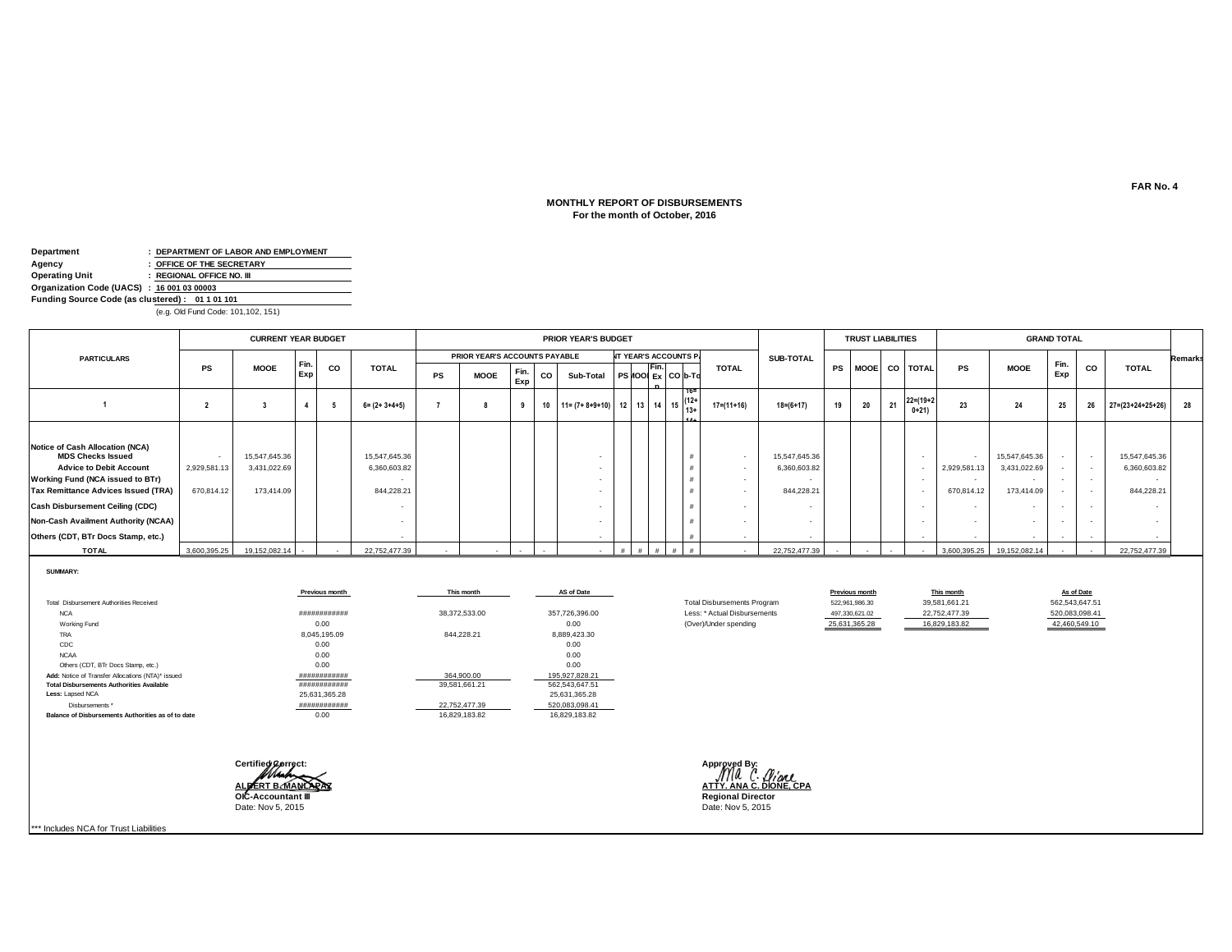## **For the month of October, 2016 MONTHLY REPORT OF DISBURSEMENTS**

| Department                                      |  | : DEPARTMENT OF LABOR AND EMPLOYMENT |  |  |  |  |  |  |  |
|-------------------------------------------------|--|--------------------------------------|--|--|--|--|--|--|--|
| Agency                                          |  | : OFFICE OF THE SECRETARY            |  |  |  |  |  |  |  |
| Operating Unit                                  |  | : REGIONAL OFFICE NO. III            |  |  |  |  |  |  |  |
| Organization Code (UACS) : 16 001 03 00003      |  |                                      |  |  |  |  |  |  |  |
| Funding Source Code (as clustered): 01 1 01 101 |  |                                      |  |  |  |  |  |  |  |
|                                                 |  |                                      |  |  |  |  |  |  |  |

(e.g. Old Fund Code: 101,102, 151)

|                                                                                                                                                                                                                                                                                                               |                            | <b>CURRENT YEAR BUDGET</b>                  |            |    |                                             |    |                               |             |    | <b>PRIOR YEAR'S BUDGET</b>                                                                                       |  |       |                              |                  |                                             |    | <b>TRUST LIABILITIES</b> |    |                           |                            |                                             | <b>GRAND TOTAL</b> |    |                                             |         |
|---------------------------------------------------------------------------------------------------------------------------------------------------------------------------------------------------------------------------------------------------------------------------------------------------------------|----------------------------|---------------------------------------------|------------|----|---------------------------------------------|----|-------------------------------|-------------|----|------------------------------------------------------------------------------------------------------------------|--|-------|------------------------------|------------------|---------------------------------------------|----|--------------------------|----|---------------------------|----------------------------|---------------------------------------------|--------------------|----|---------------------------------------------|---------|
| <b>PARTICULARS</b>                                                                                                                                                                                                                                                                                            |                            |                                             |            |    |                                             |    | PRIOR YEAR'S ACCOUNTS PAYABLE |             |    |                                                                                                                  |  |       | <b>NT YEAR'S ACCOUNTS P.</b> |                  | <b>SUB-TOTAL</b>                            |    |                          |    |                           |                            |                                             | Fin.               |    |                                             | Remarks |
|                                                                                                                                                                                                                                                                                                               | PS                         | <b>MOOE</b>                                 | Fin<br>Exp | CO | <b>TOTAL</b>                                | PS | <b>MOOE</b>                   | Fin.<br>Exp | CO | Sub-Total                                                                                                        |  | TFin. | PS NOOI Ex CO b-To           | <b>TOTAL</b>     |                                             | PS |                          |    | MOOE CO TOTAL             | <b>PS</b>                  | <b>MOOE</b>                                 | Exp                | CO | <b>TOTAL</b>                                |         |
|                                                                                                                                                                                                                                                                                                               |                            |                                             |            |    | $6 = (2 + 3 + 4 + 5)$                       |    | я                             | g           | 10 | $\begin{vmatrix} 11 = (7 + 8 + 9 + 10) & 12 & 13 & 14 & 15 & 13+1 \ 13 + 14 & 13 & 14 & 15 & 13+1 \end{vmatrix}$ |  |       |                              | $17 = (11 + 16)$ | $18 = (6 + 17)$                             | 19 | 20                       | 21 | $22 = (19 + 2)$<br>$0+21$ | 23                         | 24                                          | 25                 | 26 | $27=(23+24+25+26)$                          | 28      |
| <b>Notice of Cash Allocation (NCA)</b><br><b>MDS Checks Issued</b><br><b>Advice to Debit Account</b><br>Working Fund (NCA issued to BTr)<br><b>Tax Remittance Advices Issued (TRA)</b><br><b>Cash Disbursement Ceiling (CDC)</b><br>Non-Cash Availment Authority (NCAA)<br>Others (CDT, BTr Docs Stamp, etc.) | 2,929,581.13<br>670,814.12 | 15,547,645.36<br>3,431,022.69<br>173,414.09 |            |    | 15,547,645.36<br>6,360,603.82<br>844,228.21 |    |                               |             |    | $\overline{\phantom{a}}$<br>$\overline{\phantom{a}}$<br>$\sim$                                                   |  |       |                              |                  | 15,547,645.36<br>6,360,603.82<br>844,228.21 |    |                          |    |                           | 2,929,581.13<br>670,814.12 | 15,547,645.36<br>3,431,022.69<br>173,414.09 | $\sim$             |    | 15,547,645.36<br>6,360,603.82<br>844.228.21 |         |
| <b>TOTAL</b>                                                                                                                                                                                                                                                                                                  | 3,600,395.25               | 19,152,082.14                               |            |    | 22,752,477.39                               |    |                               |             |    |                                                                                                                  |  |       |                              |                  | 22,752,477.39                               |    |                          |    |                           |                            | 3,600,395.25 19,152,082.14                  |                    |    | 22,752,477.39                               |         |

**SUMMARY:**

|                                                    | <b>Previous month</b> | This month    | AS of Date     |
|----------------------------------------------------|-----------------------|---------------|----------------|
| Total Dishursement Authorities Received            |                       |               |                |
| <b>NCA</b>                                         | ############          | 38.372.533.00 | 357.726.396.00 |
| Working Fund                                       | 0.00                  |               | 0.00           |
| <b>TRA</b>                                         | 8.045.195.09          | 844.228.21    | 8.889.423.30   |
| CDC                                                | 0.00                  |               | 0.00           |
| <b>NCAA</b>                                        | 0.00                  |               | 0.00           |
| Others (CDT, BTr Docs Stamp, etc.)                 | 0.00                  |               | 0.00           |
| Add: Notice of Transfer Allocations (NTA)* issued  | ############          | 364.900.00    | 195.927.828.21 |
| <b>Total Disbursements Authorities Available</b>   | ############          | 39.581.661.21 | 562.543.647.51 |
| Less: Lapsed NCA                                   | 25.631.365.28         |               | 25.631.365.28  |
| Disbursements *                                    | ############          | 22.752.477.39 | 520.083.098.41 |
| Balance of Disbursements Authorities as of to date | 0.00                  | 16.829.183.82 | 16.829.183.82  |



Less: \* Actual Disbursements

(Over)/Under spending

\*\*\* Includes NCA for Trust Liabilities

**FAR No. 4**

16,829,183.82 42,460,549.10

**Previous month This month This month As of Date** 

520,083,098.41

Total Disbursements Program 522,961,986.30 39,581,661.21 562,543,647.51<br>
Less: \* Actual Disbursements 497,330,621.02 22,752,477.39 520,083,098.41

25,631,365.28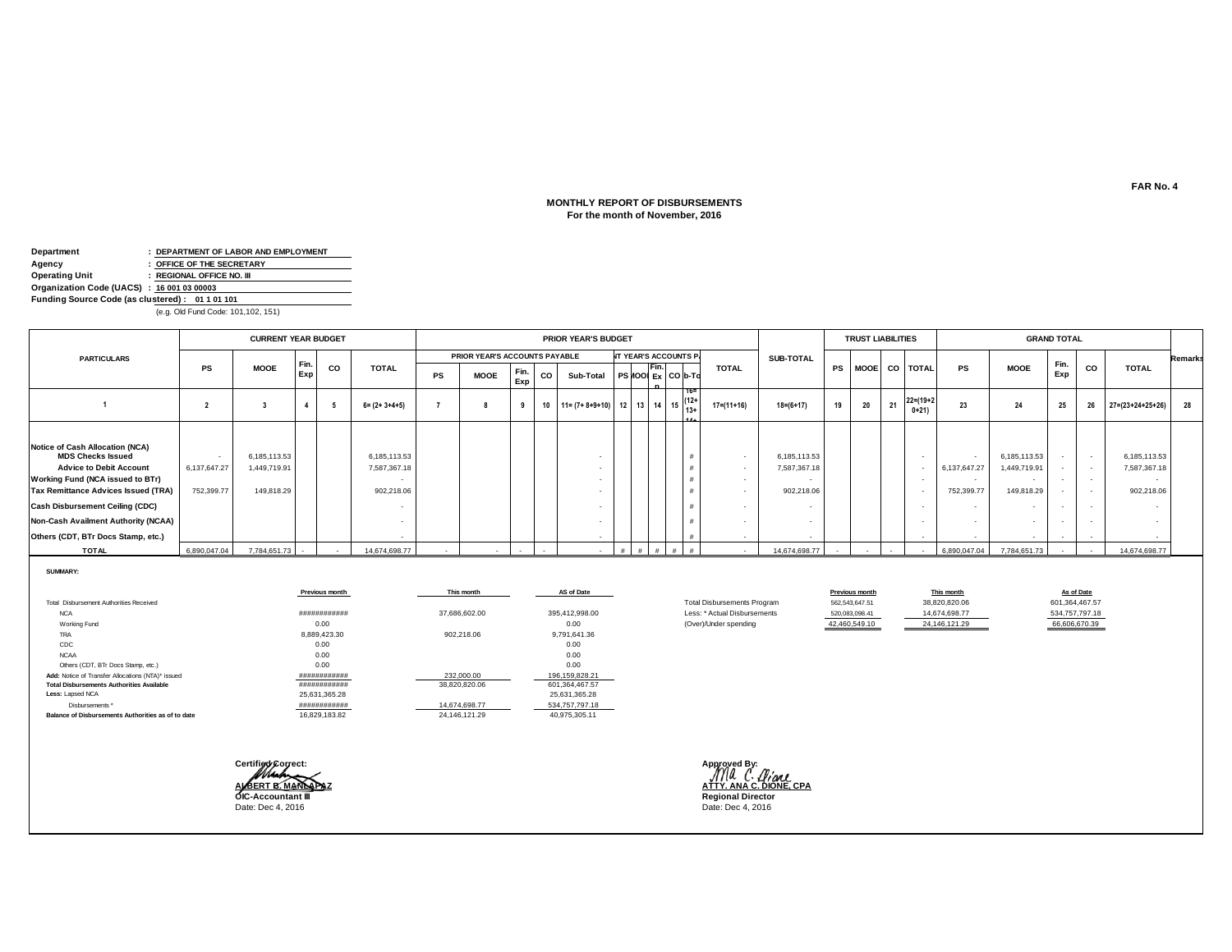## **For the month of November, 2016 MONTHLY REPORT OF DISBURSEMENTS**

| Department                                      |  | : DEPARTMENT OF LABOR AND EMPLOYMENT |  |  |  |  |  |  |  |
|-------------------------------------------------|--|--------------------------------------|--|--|--|--|--|--|--|
| Agency                                          |  | : OFFICE OF THE SECRETARY            |  |  |  |  |  |  |  |
| Operating Unit                                  |  | : REGIONAL OFFICE NO. III            |  |  |  |  |  |  |  |
| Organization Code (UACS) : 16 001 03 00003      |  |                                      |  |  |  |  |  |  |  |
| Funding Source Code (as clustered): 01 1 01 101 |  |                                      |  |  |  |  |  |  |  |
|                                                 |  |                                      |  |  |  |  |  |  |  |

(e.g. Old Fund Code: 101,102, 151)

|                                                                                                                                                                                                                                                                                                                      |                            | <b>CURRENT YEAR BUDGET</b>                 |     |    |                                            |           |                               |             |    | <b>PRIOR YEAR'S BUDGET</b>                                                                          |  |       |                              |                  |                                            |    | <b>TRUST LIABILITIES</b> |    |                           |                            |                                           | <b>GRAND TOTAL</b> |    |                                            |         |
|----------------------------------------------------------------------------------------------------------------------------------------------------------------------------------------------------------------------------------------------------------------------------------------------------------------------|----------------------------|--------------------------------------------|-----|----|--------------------------------------------|-----------|-------------------------------|-------------|----|-----------------------------------------------------------------------------------------------------|--|-------|------------------------------|------------------|--------------------------------------------|----|--------------------------|----|---------------------------|----------------------------|-------------------------------------------|--------------------|----|--------------------------------------------|---------|
| <b>PARTICULARS</b>                                                                                                                                                                                                                                                                                                   |                            |                                            |     |    |                                            |           | PRIOR YEAR'S ACCOUNTS PAYABLE |             |    |                                                                                                     |  |       | <b>NT YEAR'S ACCOUNTS P.</b> |                  | <b>SUB-TOTAL</b>                           |    |                          |    |                           |                            |                                           |                    |    |                                            | Remarks |
|                                                                                                                                                                                                                                                                                                                      | PS                         | <b>MOOE</b>                                | Exp | co | <b>TOTAL</b>                               | <b>PS</b> | <b>MOOE</b>                   | Fin.<br>Exp | CO | Sub-Total                                                                                           |  | TFin. | PS 100 Ex CO b-To            | <b>TOTAL</b>     |                                            | PS |                          |    | MOOE CO TOTAL             | <b>PS</b>                  | <b>MOOE</b>                               | Fin<br>Exp         | CO | <b>TOTAL</b>                               |         |
|                                                                                                                                                                                                                                                                                                                      |                            |                                            |     |    | $6 = (2 + 3 + 4 + 5)$                      |           |                               | $\Omega$    |    | 10   11 = $(7 + 8 + 9 + 10)$   12   13   14   15 $\begin{vmatrix} 1 & 1 \\ 1 & 3 + 1 \end{vmatrix}$ |  |       |                              | $17 = (11 + 16)$ | $18 = (6 + 17)$                            | 19 | 20                       | 21 | $22 = (19 + 2)$<br>$0+21$ | 23                         | 24                                        | 25                 | 26 | $27 = (23 + 24 + 25 + 26)$                 | 28      |
| <b>Notice of Cash Allocation (NCA)</b><br><b>MDS Checks Issued</b><br><b>Advice to Debit Account</b><br><b>Working Fund (NCA issued to BTr)</b><br><b>Tax Remittance Advices Issued (TRA)</b><br><b>Cash Disbursement Ceiling (CDC)</b><br>Non-Cash Availment Authority (NCAA)<br>Others (CDT, BTr Docs Stamp, etc.) | 6,137,647.27<br>752,399.77 | 6,185,113.53<br>1,449,719.91<br>149,818.29 |     |    | 6,185,113.53<br>7,587,367.18<br>902.218.06 |           |                               |             |    |                                                                                                     |  |       |                              |                  | 6,185,113.53<br>7,587,367.18<br>902,218.06 |    |                          |    |                           | 6,137,647.27<br>752,399.77 | 6,185,113.53<br>1,449,719.9<br>149,818.29 | $\sim$             |    | 6,185,113.53<br>7,587,367.18<br>902,218.06 |         |
| <b>TOTAL</b>                                                                                                                                                                                                                                                                                                         | 6,890,047.04               | 7,784,651.73                               |     |    | 14,674,698.77                              |           |                               |             |    |                                                                                                     |  |       |                              |                  | 14,674,698.77                              |    |                          |    |                           | 6,890,047.04               | 7,784,651.73                              |                    |    | 14,674,698.77                              |         |

**SUMMARY:**

|                                                    | Previous month | This month    | AS of Date     |
|----------------------------------------------------|----------------|---------------|----------------|
| Total Dishursement Authorities Received            |                |               |                |
| <b>NCA</b>                                         | ############   | 37.686.602.00 | 395.412.998.00 |
| Working Fund                                       | 0.00           |               | 0.00           |
| <b>TRA</b>                                         | 8.889.423.30   | 902.218.06    | 9.791.641.36   |
| CDC                                                | 0.00           |               | 0.00           |
| <b>NCAA</b>                                        | 0.00           |               | 0.00           |
| Others (CDT, BTr Docs Stamp, etc.)                 | 0.00           |               | 0.00           |
| Add: Notice of Transfer Allocations (NTA)* issued  | ############   | 232,000.00    | 196.159.828.21 |
| <b>Total Disbursements Authorities Available</b>   | ############   | 38.820.820.06 | 601.364.467.57 |
| Less: Lapsed NCA                                   | 25.631.365.28  |               | 25.631.365.28  |
| Disbursements *                                    | ############   | 14.674.698.77 | 534.757.797.18 |
| Balance of Disbursements Authorities as of to date | 16.829.183.82  | 24.146.121.29 | 40.975.305.11  |



Regional Director<br>Date: Dec 4, 2016

Less: \* Actual Disbursements

(Over)/Under spending

**FAR No. 4**

24,146,121.29 66,606,670.39

**Previous month This month This month As of Date** 

520,083,098.41 14,674,698.77 534,757,797.18

Total Disbursements Program  $\frac{562,543,647.51}{562,543,647.51}$  38,820,820.06 601,364,467.57<br>
Less: \* Actual Disbursements 520,083,098.41 14,674,698.77 534,757,797.18

42,460,549.10